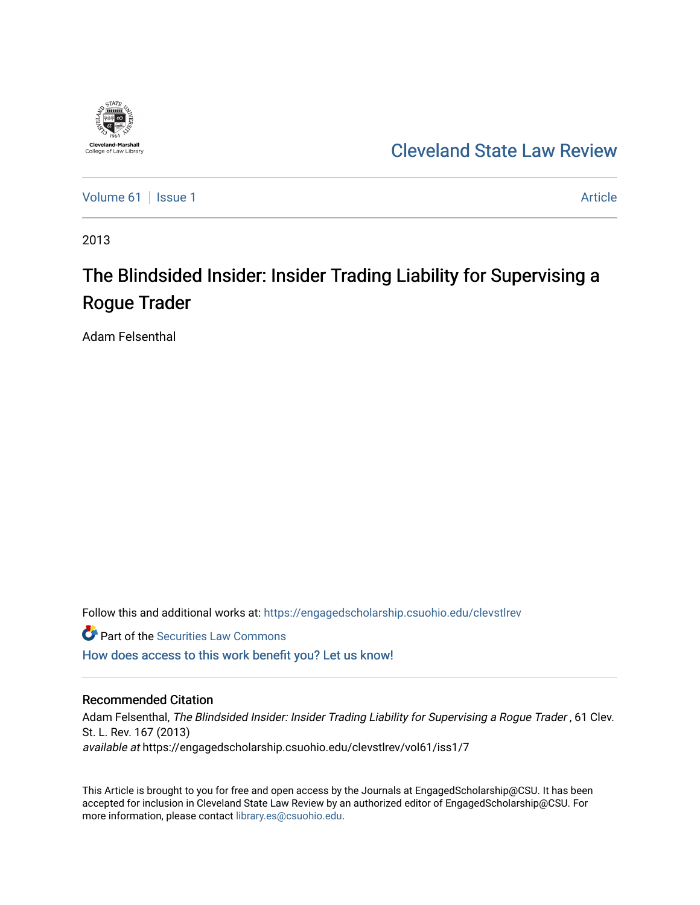

## [Cleveland State Law Review](https://engagedscholarship.csuohio.edu/clevstlrev)

[Volume 61](https://engagedscholarship.csuohio.edu/clevstlrev/vol61) | [Issue 1](https://engagedscholarship.csuohio.edu/clevstlrev/vol61/iss1) Article

2013

# The Blindsided Insider: Insider Trading Liability for Supervising a Rogue Trader

Adam Felsenthal

Follow this and additional works at: [https://engagedscholarship.csuohio.edu/clevstlrev](https://engagedscholarship.csuohio.edu/clevstlrev?utm_source=engagedscholarship.csuohio.edu%2Fclevstlrev%2Fvol61%2Fiss1%2F7&utm_medium=PDF&utm_campaign=PDFCoverPages)

**Part of the Securities Law Commons** 

[How does access to this work benefit you? Let us know!](http://library.csuohio.edu/engaged/)

## Recommended Citation

Adam Felsenthal, The Blindsided Insider: Insider Trading Liability for Supervising a Rogue Trader , 61 Clev. St. L. Rev. 167 (2013) available at https://engagedscholarship.csuohio.edu/clevstlrev/vol61/iss1/7

This Article is brought to you for free and open access by the Journals at EngagedScholarship@CSU. It has been accepted for inclusion in Cleveland State Law Review by an authorized editor of EngagedScholarship@CSU. For more information, please contact [library.es@csuohio.edu](mailto:library.es@csuohio.edu).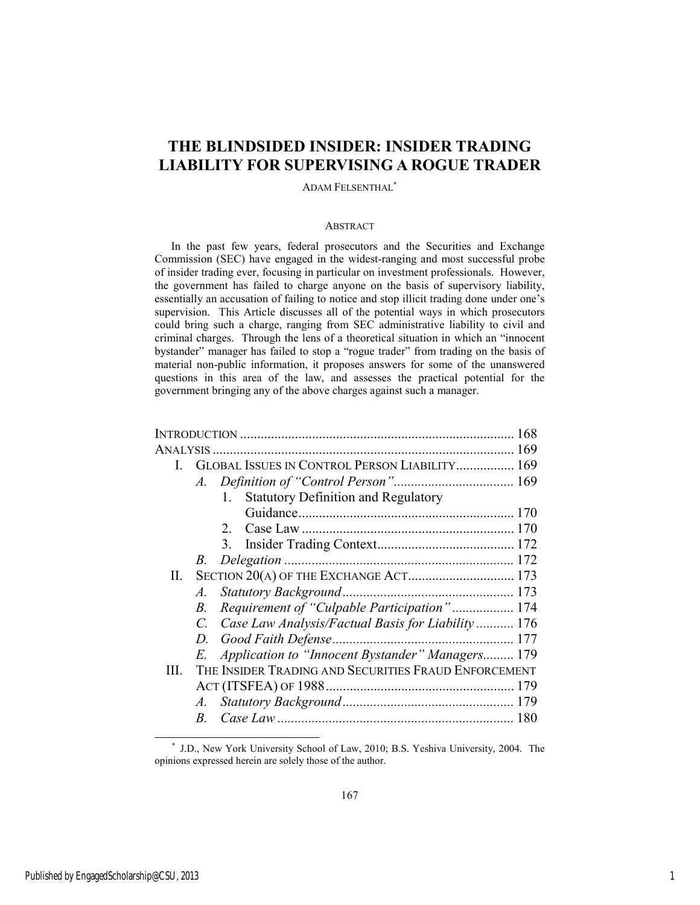## **THE BLINDSIDED INSIDER: INSIDER TRADING LIABILITY FOR SUPERVISING A ROGUE TRADER**

ADAM FELSENTHAL\*

#### ABSTRACT

In the past few years, federal prosecutors and the Securities and Exchange Commission (SEC) have engaged in the widest-ranging and most successful probe of insider trading ever, focusing in particular on investment professionals. However, the government has failed to charge anyone on the basis of supervisory liability, essentially an accusation of failing to notice and stop illicit trading done under one's supervision. This Article discusses all of the potential ways in which prosecutors could bring such a charge, ranging from SEC administrative liability to civil and criminal charges. Through the lens of a theoretical situation in which an "innocent bystander" manager has failed to stop a "rogue trader" from trading on the basis of material non-public information, it proposes answers for some of the unanswered questions in this area of the law, and assesses the practical potential for the government bringing any of the above charges against such a manager.

|     |                                       |                                                      | 168 |
|-----|---------------------------------------|------------------------------------------------------|-----|
|     |                                       |                                                      |     |
| I.  |                                       | GLOBAL ISSUES IN CONTROL PERSON LIABILITY 169        |     |
|     |                                       |                                                      |     |
|     |                                       | <b>Statutory Definition and Regulatory</b><br>1.     |     |
|     |                                       |                                                      |     |
|     |                                       | 2.                                                   |     |
|     |                                       |                                                      |     |
|     | B.                                    |                                                      |     |
| П.  | SECTION 20(A) OF THE EXCHANGE ACT 173 |                                                      |     |
|     | A.                                    |                                                      |     |
|     | В.                                    | Requirement of "Culpable Participation" 174          |     |
|     | $C_{\cdot}$                           | Case Law Analysis/Factual Basis for Liability  176   |     |
|     | D.                                    |                                                      |     |
|     |                                       | E. Application to "Innocent Bystander" Managers 179  |     |
| HL. |                                       | THE INSIDER TRADING AND SECURITIES FRAUD ENFORCEMENT |     |
|     |                                       |                                                      |     |
|     |                                       |                                                      |     |
|     | B.                                    |                                                      |     |

l

 <sup>\*</sup> J.D., New York University School of Law, 2010; B.S. Yeshiva University, 2004. The opinions expressed herein are solely those of the author.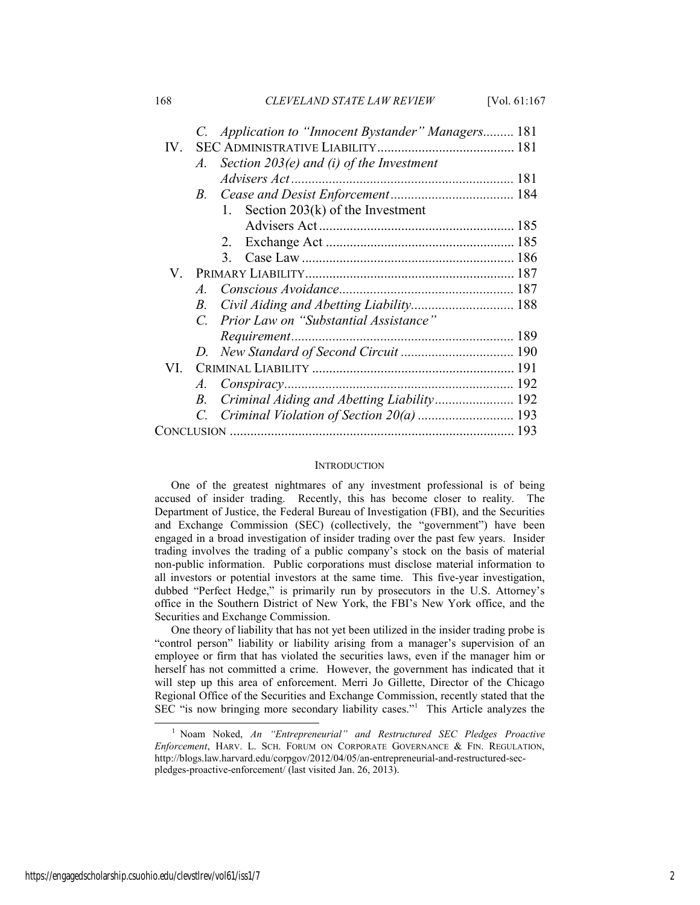168 *CLEVELAND STATE LAW REVIEW* [Vol. 61:167

|      | C. Application to "Innocent Bystander" Managers 181  |  |
|------|------------------------------------------------------|--|
| IV.  |                                                      |  |
|      | Section $203(e)$ and (i) of the Investment<br>A.     |  |
|      |                                                      |  |
|      | B.                                                   |  |
|      | 1. Section $203(k)$ of the Investment                |  |
|      |                                                      |  |
|      | 2.                                                   |  |
|      | 3.                                                   |  |
|      |                                                      |  |
|      | $\overline{A}$                                       |  |
|      | Civil Aiding and Abetting Liability 188<br>B.        |  |
|      | Prior Law on "Substantial Assistance"<br>$C_{\cdot}$ |  |
|      |                                                      |  |
|      |                                                      |  |
| VI — |                                                      |  |
|      | A.                                                   |  |
|      | B.                                                   |  |
|      | C. Criminal Violation of Section 20(a)  193          |  |
|      |                                                      |  |

#### **INTRODUCTION**

One of the greatest nightmares of any investment professional is of being accused of insider trading. Recently, this has become closer to reality. The Department of Justice, the Federal Bureau of Investigation (FBI), and the Securities and Exchange Commission (SEC) (collectively, the "government") have been engaged in a broad investigation of insider trading over the past few years. Insider trading involves the trading of a public company's stock on the basis of material non-public information. Public corporations must disclose material information to all investors or potential investors at the same time. This five-year investigation, dubbed "Perfect Hedge," is primarily run by prosecutors in the U.S. Attorney's office in the Southern District of New York, the FBI's New York office, and the Securities and Exchange Commission.

One theory of liability that has not yet been utilized in the insider trading probe is "control person" liability or liability arising from a manager's supervision of an employee or firm that has violated the securities laws, even if the manager him or herself has not committed a crime. However, the government has indicated that it will step up this area of enforcement. Merri Jo Gillette, Director of the Chicago Regional Office of the Securities and Exchange Commission, recently stated that the SEC "is now bringing more secondary liability cases."1 This Article analyzes the

 <sup>1</sup> <sup>1</sup> Noam Noked, An "Entrepreneurial" and Restructured SEC Pledges Proactive *Enforcement*, HARV. L. SCH. FORUM ON CORPORATE GOVERNANCE & FIN. REGULATION, http://blogs.law.harvard.edu/corpgov/2012/04/05/an-entrepreneurial-and-restructured-secpledges-proactive-enforcement/ (last visited Jan. 26, 2013).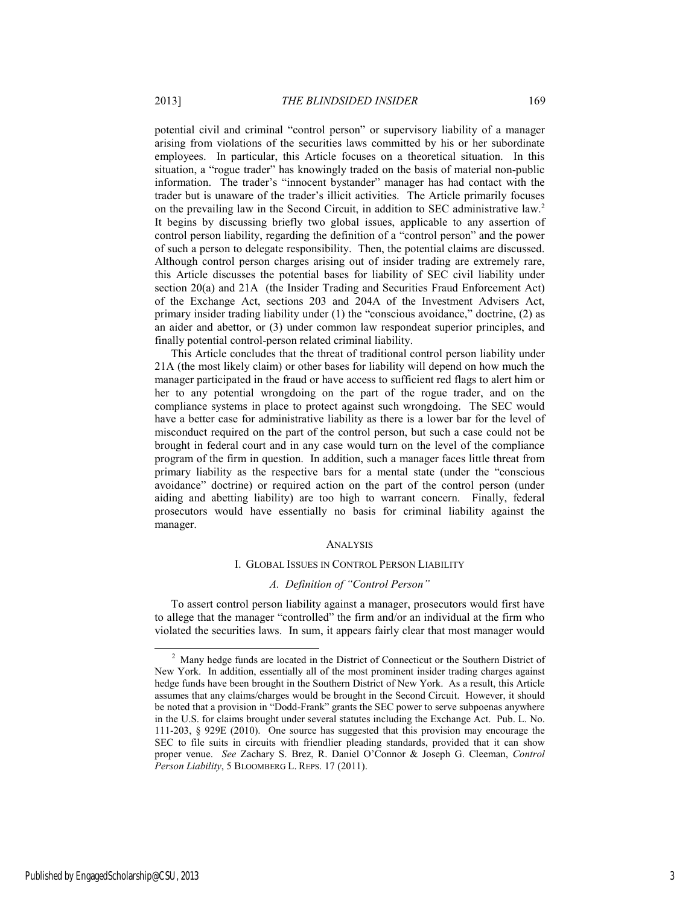potential civil and criminal "control person" or supervisory liability of a manager arising from violations of the securities laws committed by his or her subordinate employees. In particular, this Article focuses on a theoretical situation. In this situation, a "rogue trader" has knowingly traded on the basis of material non-public information. The trader's "innocent bystander" manager has had contact with the trader but is unaware of the trader's illicit activities. The Article primarily focuses on the prevailing law in the Second Circuit, in addition to SEC administrative law.2 It begins by discussing briefly two global issues, applicable to any assertion of control person liability, regarding the definition of a "control person" and the power of such a person to delegate responsibility. Then, the potential claims are discussed. Although control person charges arising out of insider trading are extremely rare, this Article discusses the potential bases for liability of SEC civil liability under section 20(a) and 21A (the Insider Trading and Securities Fraud Enforcement Act) of the Exchange Act, sections 203 and 204A of the Investment Advisers Act, primary insider trading liability under (1) the "conscious avoidance," doctrine, (2) as an aider and abettor, or (3) under common law respondeat superior principles, and finally potential control-person related criminal liability.

This Article concludes that the threat of traditional control person liability under 21A (the most likely claim) or other bases for liability will depend on how much the manager participated in the fraud or have access to sufficient red flags to alert him or her to any potential wrongdoing on the part of the rogue trader, and on the compliance systems in place to protect against such wrongdoing. The SEC would have a better case for administrative liability as there is a lower bar for the level of misconduct required on the part of the control person, but such a case could not be brought in federal court and in any case would turn on the level of the compliance program of the firm in question. In addition, such a manager faces little threat from primary liability as the respective bars for a mental state (under the "conscious avoidance" doctrine) or required action on the part of the control person (under aiding and abetting liability) are too high to warrant concern. Finally, federal prosecutors would have essentially no basis for criminal liability against the manager.

#### **ANALYSIS**

#### I. GLOBAL ISSUES IN CONTROL PERSON LIABILITY

## *A. Definition of "Control Person"*

To assert control person liability against a manager, prosecutors would first have to allege that the manager "controlled" the firm and/or an individual at the firm who violated the securities laws. In sum, it appears fairly clear that most manager would

 <sup>2</sup> <sup>2</sup> Many hedge funds are located in the District of Connecticut or the Southern District of New York. In addition, essentially all of the most prominent insider trading charges against hedge funds have been brought in the Southern District of New York. As a result, this Article assumes that any claims/charges would be brought in the Second Circuit. However, it should be noted that a provision in "Dodd-Frank" grants the SEC power to serve subpoenas anywhere in the U.S. for claims brought under several statutes including the Exchange Act. Pub. L. No. 111-203, § 929E (2010). One source has suggested that this provision may encourage the SEC to file suits in circuits with friendlier pleading standards, provided that it can show proper venue. *See* Zachary S. Brez, R. Daniel O'Connor & Joseph G. Cleeman, *Control Person Liability*, 5 BLOOMBERG L. REPS. 17 (2011).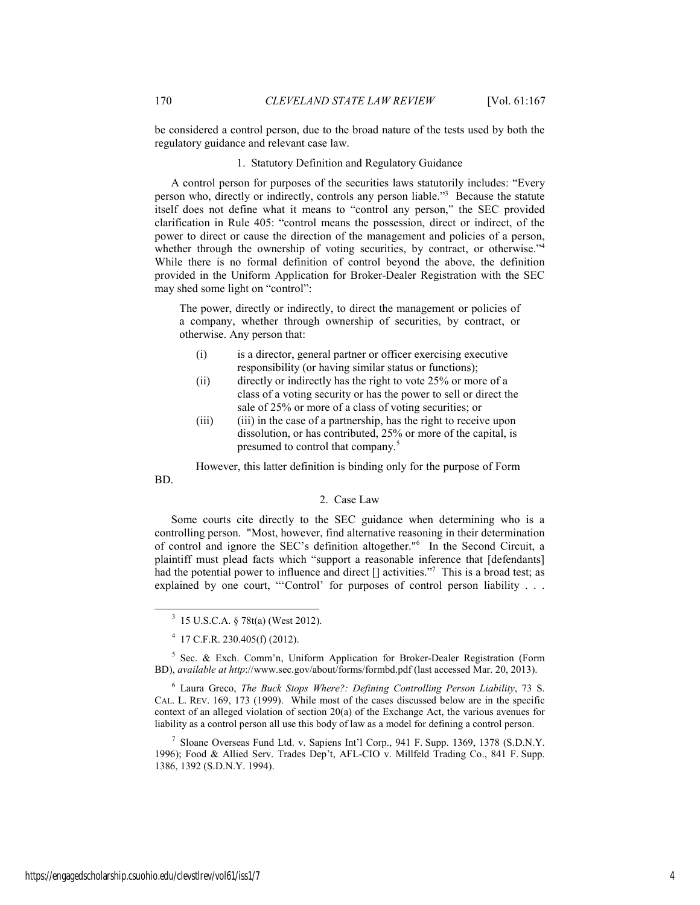be considered a control person, due to the broad nature of the tests used by both the regulatory guidance and relevant case law.

#### 1. Statutory Definition and Regulatory Guidance

A control person for purposes of the securities laws statutorily includes: "Every person who, directly or indirectly, controls any person liable."<sup>3</sup> Because the statute itself does not define what it means to "control any person," the SEC provided clarification in Rule 405: "control means the possession, direct or indirect, of the power to direct or cause the direction of the management and policies of a person, whether through the ownership of voting securities, by contract, or otherwise."<sup>4</sup> While there is no formal definition of control beyond the above, the definition provided in the Uniform Application for Broker-Dealer Registration with the SEC may shed some light on "control":

The power, directly or indirectly, to direct the management or policies of a company, whether through ownership of securities, by contract, or otherwise. Any person that:

- (i) is a director, general partner or officer exercising executive responsibility (or having similar status or functions);
- (ii) directly or indirectly has the right to vote 25% or more of a class of a voting security or has the power to sell or direct the sale of 25% or more of a class of voting securities; or
- (iii) (iii) in the case of a partnership, has the right to receive upon dissolution, or has contributed, 25% or more of the capital, is presumed to control that company.<sup>5</sup>

However, this latter definition is binding only for the purpose of Form

#### 2. Case Law

Some courts cite directly to the SEC guidance when determining who is a controlling person. "Most, however, find alternative reasoning in their determination of control and ignore the SEC's definition altogether."6 In the Second Circuit, a plaintiff must plead facts which "support a reasonable inference that [defendants] had the potential power to influence and direct [] activities."<sup>7</sup> This is a broad test; as explained by one court, "'Control' for purposes of control person liability . . .

<sup>5</sup> Sec. & Exch. Comm'n, Uniform Application for Broker-Dealer Registration (Form BD), *available at http*://www.sec.gov/about/forms/formbd.pdf (last accessed Mar. 20, 2013).

6 Laura Greco, *The Buck Stops Where?: Defining Controlling Person Liability*, 73 S. CAL. L. REV. 169, 173 (1999). While most of the cases discussed below are in the specific context of an alleged violation of section  $20(a)$  of the Exchange Act, the various avenues for liability as a control person all use this body of law as a model for defining a control person.

7 Sloane Overseas Fund Ltd. v. Sapiens Int'l Corp., 941 F. Supp. 1369, 1378 (S.D.N.Y. 1996); Food & Allied Serv. Trades Dep't, AFL-CIO v. Millfeld Trading Co., 841 F. Supp. 1386, 1392 (S.D.N.Y. 1994).

BD.

 <sup>3</sup> 15 U.S.C.A. § 78t(a) (West 2012).

 $4$  17 C.F.R. 230.405(f) (2012).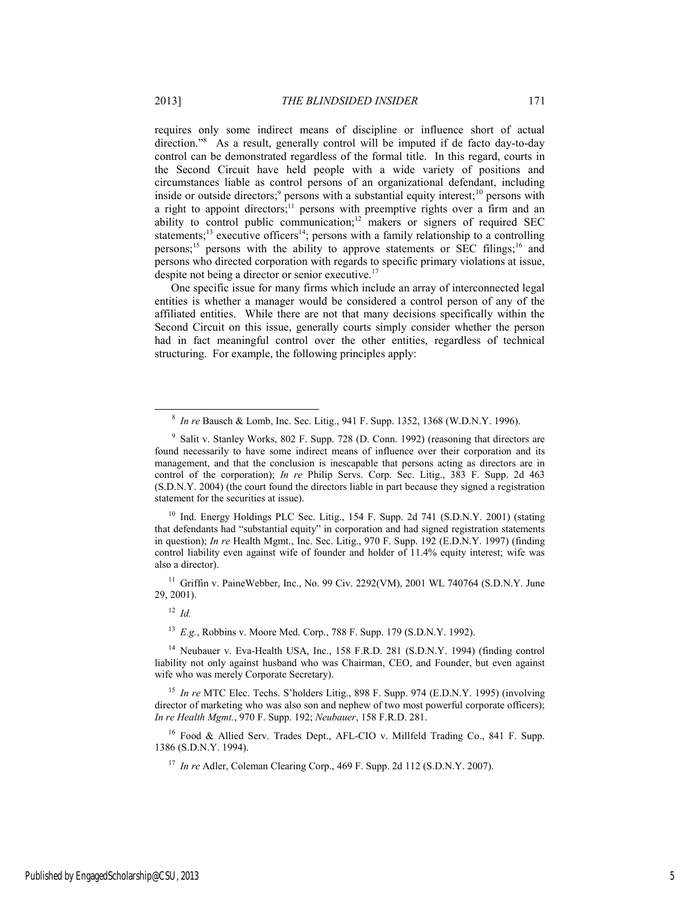requires only some indirect means of discipline or influence short of actual direction."8 As a result, generally control will be imputed if de facto day-to-day control can be demonstrated regardless of the formal title. In this regard, courts in the Second Circuit have held people with a wide variety of positions and circumstances liable as control persons of an organizational defendant, including inside or outside directors;<sup>9</sup> persons with a substantial equity interest;<sup>10</sup> persons with a right to appoint directors;<sup>11</sup> persons with preemptive rights over a firm and an ability to control public communication;<sup>12</sup> makers or signers of required SEC statements;<sup>13</sup> executive officers<sup>14</sup>; persons with a family relationship to a controlling persons;<sup>15</sup> persons with the ability to approve statements or SEC filings;<sup>16</sup> and persons who directed corporation with regards to specific primary violations at issue, despite not being a director or senior executive.<sup>17</sup>

One specific issue for many firms which include an array of interconnected legal entities is whether a manager would be considered a control person of any of the affiliated entities. While there are not that many decisions specifically within the Second Circuit on this issue, generally courts simply consider whether the person had in fact meaningful control over the other entities, regardless of technical structuring. For example, the following principles apply:

<sup>10</sup> Ind. Energy Holdings PLC Sec. Litig., 154 F. Supp. 2d 741 (S.D.N.Y. 2001) (stating that defendants had "substantial equity" in corporation and had signed registration statements in question); *In re* Health Mgmt., Inc. Sec. Litig., 970 F. Supp. 192 (E.D.N.Y. 1997) (finding control liability even against wife of founder and holder of 11.4% equity interest; wife was also a director).

 $11$  Griffin v. PaineWebber, Inc., No. 99 Civ. 2292(VM), 2001 WL 740764 (S.D.N.Y. June 29, 2001).

<sup>12</sup> *Id.*

<sup>13</sup> *E.g.*, Robbins v. Moore Med. Corp., 788 F. Supp. 179 (S.D.N.Y. 1992).

<sup>14</sup> Neubauer v. Eva-Health USA, Inc., 158 F.R.D. 281 (S.D.N.Y. 1994) (finding control liability not only against husband who was Chairman, CEO, and Founder, but even against wife who was merely Corporate Secretary).

<sup>15</sup> *In re* MTC Elec. Techs. S'holders Litig., 898 F. Supp. 974 (E.D.N.Y. 1995) (involving director of marketing who was also son and nephew of two most powerful corporate officers); *In re Health Mgmt.*, 970 F. Supp. 192; *Neubauer*, 158 F.R.D. 281.

<sup>16</sup> Food & Allied Serv. Trades Dept., AFL-CIO v. Millfeld Trading Co., 841 F. Supp. 1386 (S.D.N.Y. 1994).

<sup>17</sup> *In re* Adler, Coleman Clearing Corp., 469 F. Supp. 2d 112 (S.D.N.Y. 2007).

 <sup>8</sup> *In re* Bausch & Lomb, Inc. Sec. Litig., 941 F. Supp. 1352, 1368 (W.D.N.Y. 1996).

<sup>&</sup>lt;sup>9</sup> Salit v. Stanley Works, 802 F. Supp. 728 (D. Conn. 1992) (reasoning that directors are found necessarily to have some indirect means of influence over their corporation and its management, and that the conclusion is inescapable that persons acting as directors are in control of the corporation); *In re* Philip Servs. Corp. Sec. Litig., 383 F. Supp. 2d 463 (S.D.N.Y. 2004) (the court found the directors liable in part because they signed a registration statement for the securities at issue).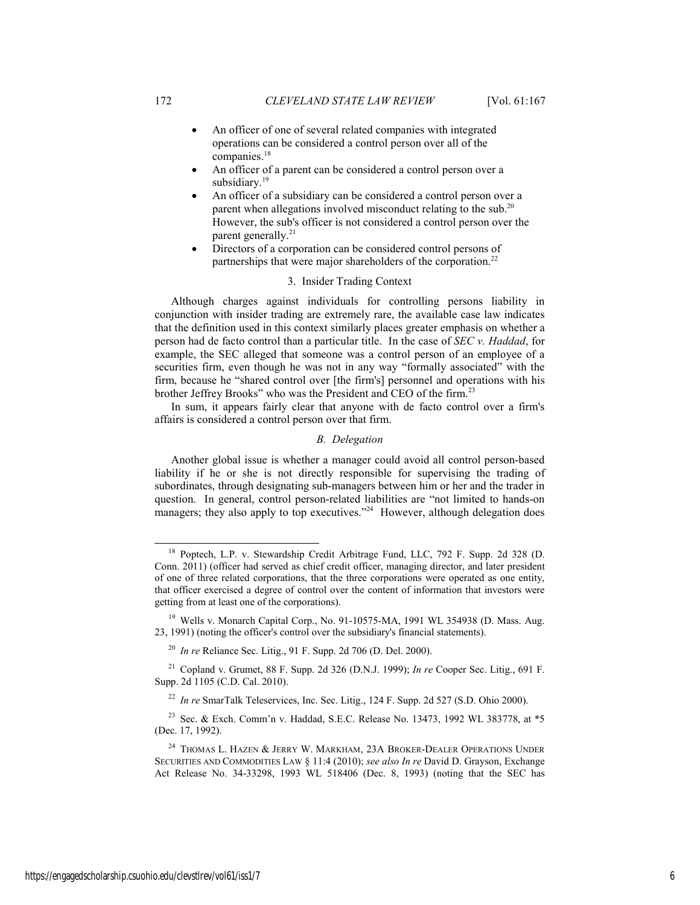- An officer of one of several related companies with integrated operations can be considered a control person over all of the companies.<sup>18</sup>
- An officer of a parent can be considered a control person over a subsidiary.<sup>19</sup>
- An officer of a subsidiary can be considered a control person over a parent when allegations involved misconduct relating to the sub.20 However, the sub's officer is not considered a control person over the parent generally. $^{21}$
- Directors of a corporation can be considered control persons of partnerships that were major shareholders of the corporation.<sup>22</sup>

## 3. Insider Trading Context

Although charges against individuals for controlling persons liability in conjunction with insider trading are extremely rare, the available case law indicates that the definition used in this context similarly places greater emphasis on whether a person had de facto control than a particular title. In the case of *SEC v. Haddad*, for example, the SEC alleged that someone was a control person of an employee of a securities firm, even though he was not in any way "formally associated" with the firm, because he "shared control over [the firm's] personnel and operations with his brother Jeffrey Brooks" who was the President and CEO of the firm.<sup>23</sup>

In sum, it appears fairly clear that anyone with de facto control over a firm's affairs is considered a control person over that firm.

## *B. Delegation*

Another global issue is whether a manager could avoid all control person-based liability if he or she is not directly responsible for supervising the trading of subordinates, through designating sub-managers between him or her and the trader in question. In general, control person-related liabilities are "not limited to hands-on managers; they also apply to top executives."<sup>24</sup> However, although delegation does

 <sup>18</sup> Poptech, L.P. v. Stewardship Credit Arbitrage Fund, LLC, 792 F. Supp. 2d 328 (D. Conn. 2011) (officer had served as chief credit officer, managing director, and later president of one of three related corporations, that the three corporations were operated as one entity, that officer exercised a degree of control over the content of information that investors were getting from at least one of the corporations).

<sup>&</sup>lt;sup>19</sup> Wells v. Monarch Capital Corp., No. 91-10575-MA, 1991 WL 354938 (D. Mass. Aug. 23, 1991) (noting the officer's control over the subsidiary's financial statements).

<sup>20</sup> *In re* Reliance Sec. Litig., 91 F. Supp. 2d 706 (D. Del. 2000).

<sup>21</sup> Copland v. Grumet, 88 F. Supp. 2d 326 (D.N.J. 1999); *In re* Cooper Sec. Litig., 691 F. Supp. 2d 1105 (C.D. Cal. 2010).

<sup>22</sup> *In re* SmarTalk Teleservices, Inc. Sec. Litig., 124 F. Supp. 2d 527 (S.D. Ohio 2000).

<sup>23</sup> Sec. & Exch. Comm'n v. Haddad, S.E.C. Release No. 13473, 1992 WL 383778, at \*5 (Dec. 17, 1992).

 $^{24}$  Thomas L. Hazen  $\&$  Jerry W. Markham, 23A Broker-Dealer Operations Under SECURITIES AND COMMODITIES LAW § 11:4 (2010); *see also In re* David D. Grayson, Exchange Act Release No. 34-33298, 1993 WL 518406 (Dec. 8, 1993) (noting that the SEC has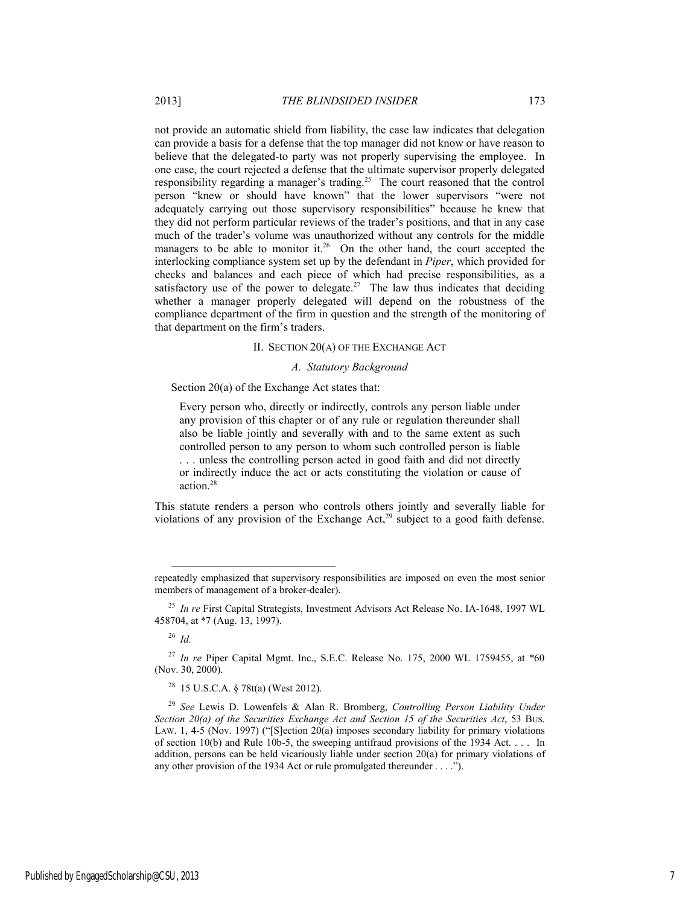not provide an automatic shield from liability, the case law indicates that delegation can provide a basis for a defense that the top manager did not know or have reason to believe that the delegated-to party was not properly supervising the employee. In one case, the court rejected a defense that the ultimate supervisor properly delegated responsibility regarding a manager's trading.25 The court reasoned that the control person "knew or should have known" that the lower supervisors "were not adequately carrying out those supervisory responsibilities" because he knew that they did not perform particular reviews of the trader's positions, and that in any case much of the trader's volume was unauthorized without any controls for the middle managers to be able to monitor it.<sup>26</sup> On the other hand, the court accepted the interlocking compliance system set up by the defendant in *Piper*, which provided for checks and balances and each piece of which had precise responsibilities, as a satisfactory use of the power to delegate.<sup>27</sup> The law thus indicates that deciding whether a manager properly delegated will depend on the robustness of the compliance department of the firm in question and the strength of the monitoring of that department on the firm's traders.

#### II. SECTION 20(A) OF THE EXCHANGE ACT

#### *A. Statutory Background*

Section 20(a) of the Exchange Act states that:

Every person who, directly or indirectly, controls any person liable under any provision of this chapter or of any rule or regulation thereunder shall also be liable jointly and severally with and to the same extent as such controlled person to any person to whom such controlled person is liable . . . unless the controlling person acted in good faith and did not directly or indirectly induce the act or acts constituting the violation or cause of action.28

This statute renders a person who controls others jointly and severally liable for violations of any provision of the Exchange Act,<sup>29</sup> subject to a good faith defense.

<sup>26</sup> *Id.*

 $\overline{\phantom{a}}$ 

repeatedly emphasized that supervisory responsibilities are imposed on even the most senior members of management of a broker-dealer).

<sup>25</sup> *In re* First Capital Strategists, Investment Advisors Act Release No. IA-1648, 1997 WL 458704, at \*7 (Aug. 13, 1997).

<sup>27</sup> *In re* Piper Capital Mgmt. Inc., S.E.C. Release No. 175, 2000 WL 1759455, at \*60 (Nov. 30, 2000).

<sup>28 15</sup> U.S.C.A. § 78t(a) (West 2012).

<sup>29</sup> *See* Lewis D. Lowenfels & Alan R. Bromberg, *Controlling Person Liability Under Section 20(a) of the Securities Exchange Act and Section 15 of the Securities Act*, 53 BUS. LAW. 1, 4-5 (Nov. 1997) ("[S]ection  $20(a)$  imposes secondary liability for primary violations of section 10(b) and Rule 10b-5, the sweeping antifraud provisions of the 1934 Act. . . . In addition, persons can be held vicariously liable under section 20(a) for primary violations of any other provision of the 1934 Act or rule promulgated thereunder . . . .").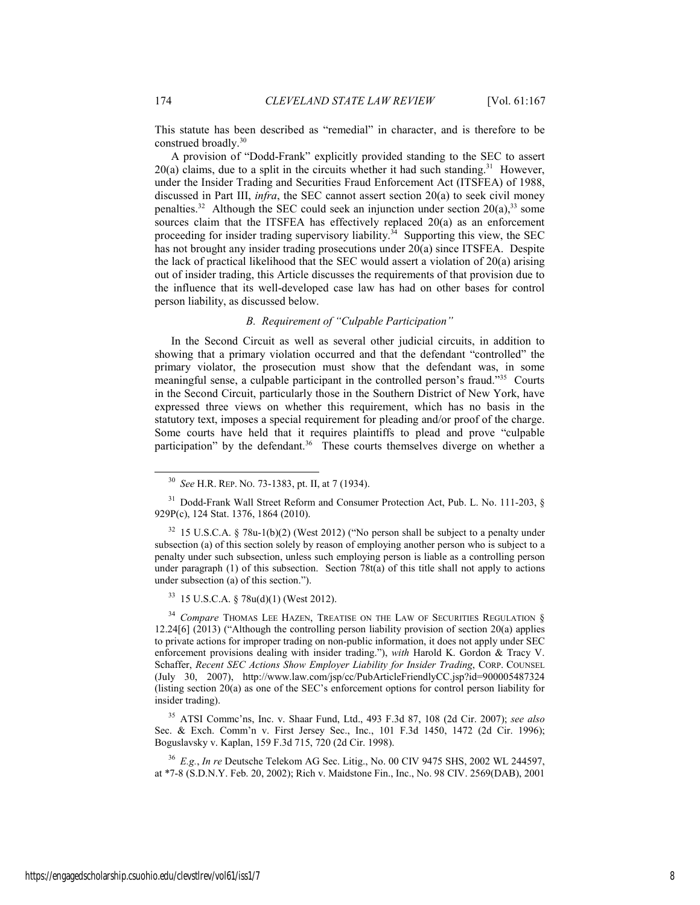This statute has been described as "remedial" in character, and is therefore to be construed broadly.<sup>30</sup>

A provision of "Dodd-Frank" explicitly provided standing to the SEC to assert  $20(a)$  claims, due to a split in the circuits whether it had such standing.<sup>31</sup> However, under the Insider Trading and Securities Fraud Enforcement Act (ITSFEA) of 1988, discussed in Part III, *infra*, the SEC cannot assert section 20(a) to seek civil money penalties.<sup>32</sup> Although the SEC could seek an injunction under section  $20(a)$ ,<sup>33</sup> some sources claim that the ITSFEA has effectively replaced 20(a) as an enforcement proceeding for insider trading supervisory liability.<sup>34</sup> Supporting this view, the SEC has not brought any insider trading prosecutions under 20(a) since ITSFEA. Despite the lack of practical likelihood that the SEC would assert a violation of 20(a) arising out of insider trading, this Article discusses the requirements of that provision due to the influence that its well-developed case law has had on other bases for control person liability, as discussed below.

## *B. Requirement of "Culpable Participation"*

In the Second Circuit as well as several other judicial circuits, in addition to showing that a primary violation occurred and that the defendant "controlled" the primary violator, the prosecution must show that the defendant was, in some meaningful sense, a culpable participant in the controlled person's fraud."35 Courts in the Second Circuit, particularly those in the Southern District of New York, have expressed three views on whether this requirement, which has no basis in the statutory text, imposes a special requirement for pleading and/or proof of the charge. Some courts have held that it requires plaintiffs to plead and prove "culpable participation" by the defendant.<sup>36</sup> These courts themselves diverge on whether a

<sup>33</sup> 15 U.S.C.A. § 78u(d)(1) (West 2012).

<sup>34</sup> Compare THOMAS LEE HAZEN, TREATISE ON THE LAW OF SECURITIES REGULATION § 12.24[6] (2013) ("Although the controlling person liability provision of section 20(a) applies to private actions for improper trading on non-public information, it does not apply under SEC enforcement provisions dealing with insider trading."), *with* Harold K. Gordon & Tracy V. Schaffer, *Recent SEC Actions Show Employer Liability for Insider Trading*, CORP. COUNSEL (July 30, 2007), http://www.law.com/jsp/cc/PubArticleFriendlyCC.jsp?id=900005487324 (listing section 20(a) as one of the SEC's enforcement options for control person liability for insider trading).

35 ATSI Commc'ns, Inc. v. Shaar Fund, Ltd., 493 F.3d 87, 108 (2d Cir. 2007); *see also*  Sec. & Exch. Comm'n v. First Jersey Sec., Inc., 101 F.3d 1450, 1472 (2d Cir. 1996); Boguslavsky v. Kaplan, 159 F.3d 715, 720 (2d Cir. 1998).

<sup>36</sup> *E.g.*, *In re* Deutsche Telekom AG Sec. Litig., No. 00 CIV 9475 SHS, 2002 WL 244597, at \*7-8 (S.D.N.Y. Feb. 20, 2002); Rich v. Maidstone Fin., Inc., No. 98 CIV. 2569(DAB), 2001

 <sup>30</sup> *See* H.R. REP. NO. 73-1383, pt. II, at 7 (1934).

<sup>&</sup>lt;sup>31</sup> Dodd-Frank Wall Street Reform and Consumer Protection Act, Pub. L. No. 111-203, § 929P(c), 124 Stat. 1376, 1864 (2010).

<sup>32 15</sup> U.S.C.A. § 78u-1(b)(2) (West 2012) ("No person shall be subject to a penalty under subsection (a) of this section solely by reason of employing another person who is subject to a penalty under such subsection, unless such employing person is liable as a controlling person under paragraph (1) of this subsection. Section 78t(a) of this title shall not apply to actions under subsection (a) of this section.").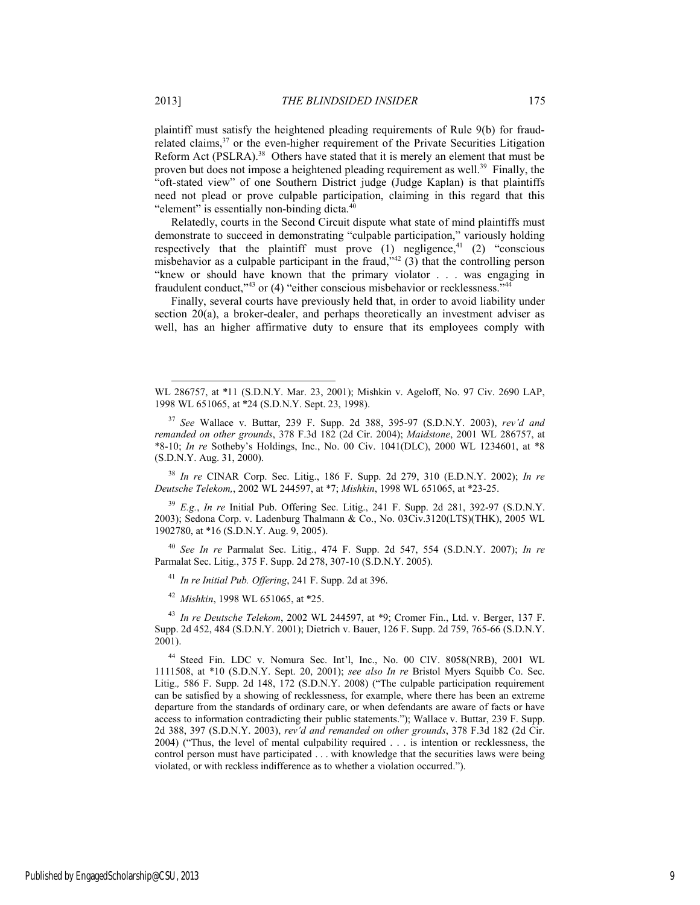plaintiff must satisfy the heightened pleading requirements of Rule 9(b) for fraudrelated claims,<sup>37</sup> or the even-higher requirement of the Private Securities Litigation Reform Act (PSLRA).<sup>38</sup> Others have stated that it is merely an element that must be proven but does not impose a heightened pleading requirement as well.<sup>39</sup> Finally, the "oft-stated view" of one Southern District judge (Judge Kaplan) is that plaintiffs need not plead or prove culpable participation, claiming in this regard that this

"element" is essentially non-binding dicta.<sup>40</sup> Relatedly, courts in the Second Circuit dispute what state of mind plaintiffs must demonstrate to succeed in demonstrating "culpable participation," variously holding respectively that the plaintiff must prove  $(1)$  negligence,<sup>41</sup>  $(2)$  "conscious misbehavior as a culpable participant in the fraud,<sup> $342$ </sup> (3) that the controlling person "knew or should have known that the primary violator . . . was engaging in fraudulent conduct,<sup>743</sup> or (4) "either conscious misbehavior or recklessness.<sup>744</sup>

Finally, several courts have previously held that, in order to avoid liability under section 20(a), a broker-dealer, and perhaps theoretically an investment adviser as well, has an higher affirmative duty to ensure that its employees comply with

<sup>38</sup> *In re* CINAR Corp. Sec. Litig., 186 F. Supp. 2d 279, 310 (E.D.N.Y. 2002); *In re Deutsche Telekom,*, 2002 WL 244597, at \*7; *Mishkin*, 1998 WL 651065, at \*23-25.

<sup>39</sup> *E.g.*, *In re* Initial Pub. Offering Sec. Litig., 241 F. Supp. 2d 281, 392-97 (S.D.N.Y. 2003); Sedona Corp. v. Ladenburg Thalmann & Co., No. 03Civ.3120(LTS)(THK), 2005 WL 1902780, at \*16 (S.D.N.Y. Aug. 9, 2005).

<sup>40</sup> *See In re* Parmalat Sec. Litig., 474 F. Supp. 2d 547, 554 (S.D.N.Y. 2007); *In re* Parmalat Sec. Litig., 375 F. Supp. 2d 278, 307-10 (S.D.N.Y. 2005).

<sup>41</sup> *In re Initial Pub. Offering*, 241 F. Supp. 2d at 396.

<sup>42</sup> *Mishkin*, 1998 WL 651065, at \*25.

<sup>43</sup> *In re Deutsche Telekom*, 2002 WL 244597, at \*9; Cromer Fin., Ltd. v. Berger, 137 F. Supp. 2d 452, 484 (S.D.N.Y. 2001); Dietrich v. Bauer, 126 F. Supp. 2d 759, 765-66 (S.D.N.Y. 2001).

44 Steed Fin. LDC v. Nomura Sec. Int'l, Inc., No. 00 CIV. 8058(NRB), 2001 WL 1111508, at \*10 (S.D.N.Y. Sept. 20, 2001); *see also In re* Bristol Myers Squibb Co. Sec. Litig., 586 F. Supp. 2d 148, 172 (S.D.N.Y. 2008) ("The culpable participation requirement can be satisfied by a showing of recklessness, for example, where there has been an extreme departure from the standards of ordinary care, or when defendants are aware of facts or have access to information contradicting their public statements."); Wallace v. Buttar, 239 F. Supp. 2d 388, 397 (S.D.N.Y. 2003), *rev'd and remanded on other grounds*, 378 F.3d 182 (2d Cir. 2004) ("Thus, the level of mental culpability required . . . is intention or recklessness, the control person must have participated . . . with knowledge that the securities laws were being violated, or with reckless indifference as to whether a violation occurred.").

 $\overline{a}$ 

WL 286757, at \*11 (S.D.N.Y. Mar. 23, 2001); Mishkin v. Ageloff, No. 97 Civ. 2690 LAP, 1998 WL 651065, at \*24 (S.D.N.Y. Sept. 23, 1998).

<sup>37</sup> *See* Wallace v. Buttar, 239 F. Supp. 2d 388, 395-97 (S.D.N.Y. 2003), *rev'd and remanded on other grounds*, 378 F.3d 182 (2d Cir. 2004); *Maidstone*, 2001 WL 286757, at \*8-10; *In re* Sotheby's Holdings, Inc., No. 00 Civ. 1041(DLC), 2000 WL 1234601, at \*8 (S.D.N.Y. Aug. 31, 2000).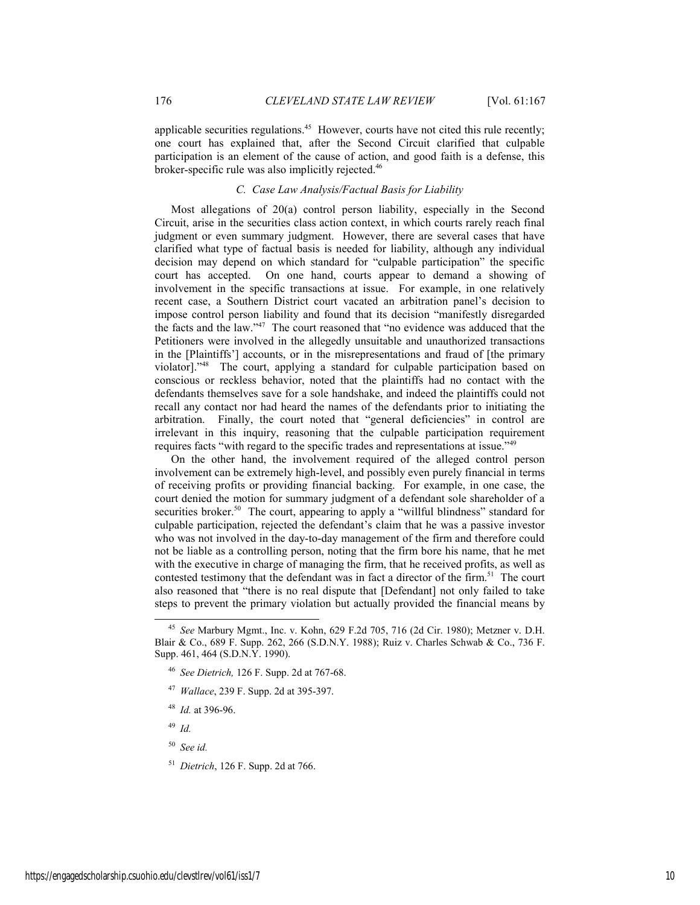applicable securities regulations.<sup>45</sup> However, courts have not cited this rule recently; one court has explained that, after the Second Circuit clarified that culpable participation is an element of the cause of action, and good faith is a defense, this broker-specific rule was also implicitly rejected.<sup>46</sup>

## *C. Case Law Analysis/Factual Basis for Liability*

Most allegations of 20(a) control person liability, especially in the Second Circuit, arise in the securities class action context, in which courts rarely reach final judgment or even summary judgment. However, there are several cases that have clarified what type of factual basis is needed for liability, although any individual decision may depend on which standard for "culpable participation" the specific court has accepted. On one hand, courts appear to demand a showing of involvement in the specific transactions at issue. For example, in one relatively recent case, a Southern District court vacated an arbitration panel's decision to impose control person liability and found that its decision "manifestly disregarded the facts and the law."47 The court reasoned that "no evidence was adduced that the Petitioners were involved in the allegedly unsuitable and unauthorized transactions in the [Plaintiffs'] accounts, or in the misrepresentations and fraud of [the primary violator]."48 The court, applying a standard for culpable participation based on conscious or reckless behavior, noted that the plaintiffs had no contact with the defendants themselves save for a sole handshake, and indeed the plaintiffs could not recall any contact nor had heard the names of the defendants prior to initiating the arbitration. Finally, the court noted that "general deficiencies" in control are irrelevant in this inquiry, reasoning that the culpable participation requirement requires facts "with regard to the specific trades and representations at issue."49

On the other hand, the involvement required of the alleged control person involvement can be extremely high-level, and possibly even purely financial in terms of receiving profits or providing financial backing. For example, in one case, the court denied the motion for summary judgment of a defendant sole shareholder of a securities broker.<sup>50</sup> The court, appearing to apply a "willful blindness" standard for culpable participation, rejected the defendant's claim that he was a passive investor who was not involved in the day-to-day management of the firm and therefore could not be liable as a controlling person, noting that the firm bore his name, that he met with the executive in charge of managing the firm, that he received profits, as well as contested testimony that the defendant was in fact a director of the firm.<sup>51</sup> The court also reasoned that "there is no real dispute that [Defendant] not only failed to take steps to prevent the primary violation but actually provided the financial means by

- <sup>47</sup> *Wallace*, 239 F. Supp. 2d at 395-397.
- <sup>48</sup> *Id.* at 396-96.

<sup>49</sup> *Id.*

- <sup>50</sup> *See id.*
- <sup>51</sup> *Dietrich*, 126 F. Supp. 2d at 766.

 <sup>45</sup> *See* Marbury Mgmt., Inc. v. Kohn, 629 F.2d 705, 716 (2d Cir. 1980); Metzner v. D.H. Blair & Co., 689 F. Supp. 262, 266 (S.D.N.Y. 1988); Ruiz v. Charles Schwab & Co., 736 F. Supp. 461, 464 (S.D.N.Y. 1990).

<sup>46</sup> *See Dietrich,* 126 F. Supp. 2d at 767-68.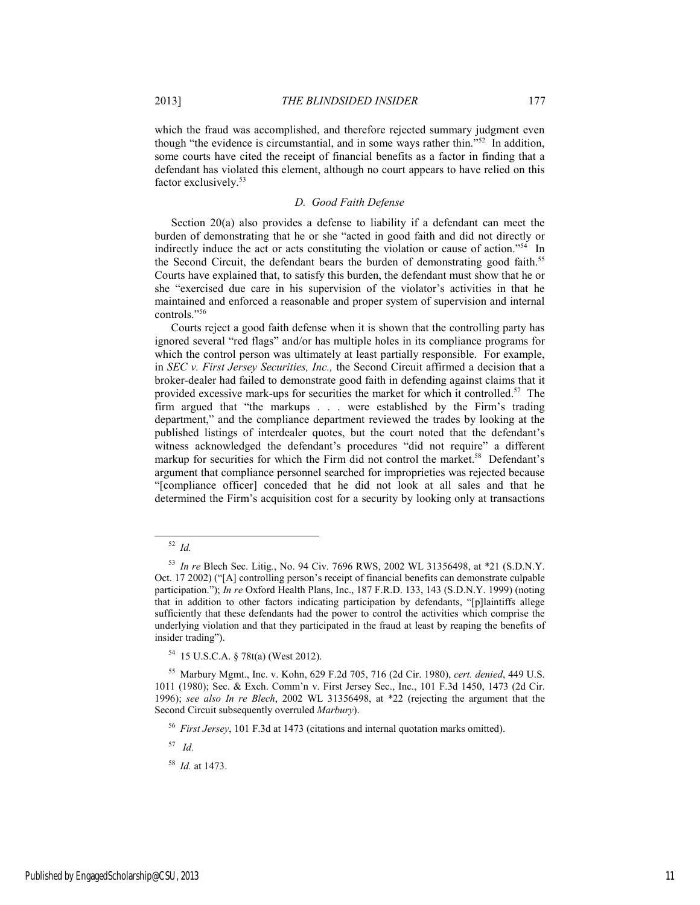which the fraud was accomplished, and therefore rejected summary judgment even though "the evidence is circumstantial, and in some ways rather thin."52 In addition, some courts have cited the receipt of financial benefits as a factor in finding that a defendant has violated this element, although no court appears to have relied on this factor exclusively.<sup>53</sup>

## *D. Good Faith Defense*

Section 20(a) also provides a defense to liability if a defendant can meet the burden of demonstrating that he or she "acted in good faith and did not directly or indirectly induce the act or acts constituting the violation or cause of action."<sup>54</sup> In the Second Circuit, the defendant bears the burden of demonstrating good faith.<sup>55</sup> Courts have explained that, to satisfy this burden, the defendant must show that he or she "exercised due care in his supervision of the violator's activities in that he maintained and enforced a reasonable and proper system of supervision and internal controls."56

Courts reject a good faith defense when it is shown that the controlling party has ignored several "red flags" and/or has multiple holes in its compliance programs for which the control person was ultimately at least partially responsible. For example, in *SEC v. First Jersey Securities, Inc.,* the Second Circuit affirmed a decision that a broker-dealer had failed to demonstrate good faith in defending against claims that it provided excessive mark-ups for securities the market for which it controlled.<sup>57</sup> The firm argued that "the markups . . . were established by the Firm's trading department," and the compliance department reviewed the trades by looking at the published listings of interdealer quotes, but the court noted that the defendant's witness acknowledged the defendant's procedures "did not require" a different markup for securities for which the Firm did not control the market.<sup>58</sup> Defendant's argument that compliance personnel searched for improprieties was rejected because "[compliance officer] conceded that he did not look at all sales and that he determined the Firm's acquisition cost for a security by looking only at transactions

57 *Id.*

 <sup>52</sup> *Id.*

<sup>53</sup> *In re* Blech Sec. Litig*.*, No. 94 Civ. 7696 RWS, 2002 WL 31356498, at \*21 (S.D.N.Y. Oct. 17 2002) ("[A] controlling person's receipt of financial benefits can demonstrate culpable participation."); *In re* Oxford Health Plans, Inc., 187 F.R.D. 133, 143 (S.D.N.Y. 1999) (noting that in addition to other factors indicating participation by defendants, "[p]laintiffs allege sufficiently that these defendants had the power to control the activities which comprise the underlying violation and that they participated in the fraud at least by reaping the benefits of insider trading").

<sup>54 15</sup> U.S.C.A. § 78t(a) (West 2012).

<sup>55</sup> Marbury Mgmt., Inc. v. Kohn, 629 F.2d 705, 716 (2d Cir. 1980), *cert. denied*, 449 U.S. 1011 (1980); Sec. & Exch. Comm'n v. First Jersey Sec., Inc., 101 F.3d 1450, 1473 (2d Cir. 1996); *see also In re Blech*, 2002 WL 31356498, at \*22 (rejecting the argument that the Second Circuit subsequently overruled *Marbury*).

<sup>56</sup> *First Jersey*, 101 F.3d at 1473 (citations and internal quotation marks omitted).

<sup>58</sup> *Id.* at 1473.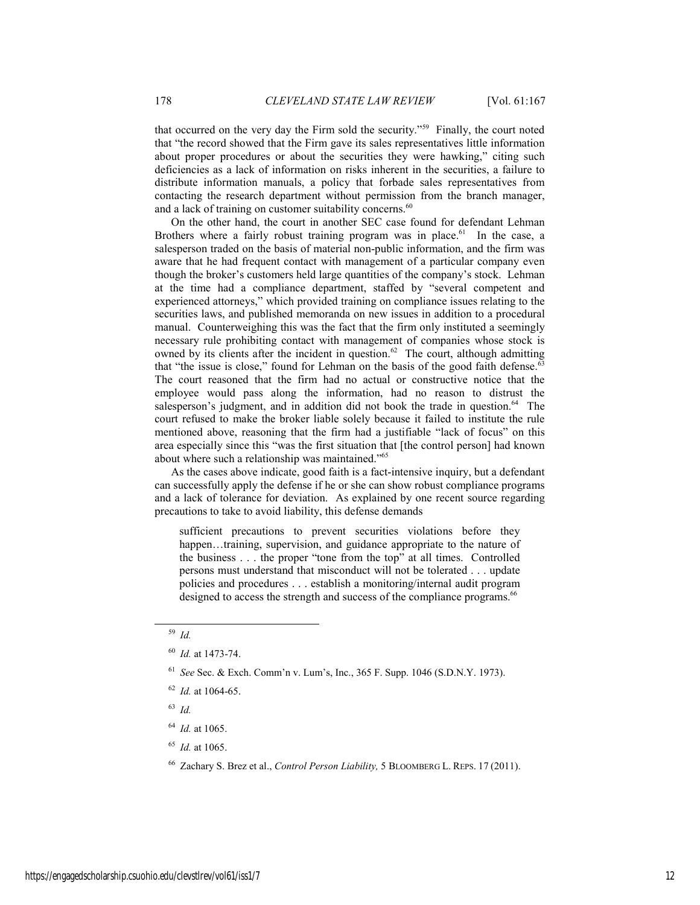that occurred on the very day the Firm sold the security."59 Finally, the court noted that "the record showed that the Firm gave its sales representatives little information about proper procedures or about the securities they were hawking," citing such deficiencies as a lack of information on risks inherent in the securities, a failure to distribute information manuals, a policy that forbade sales representatives from contacting the research department without permission from the branch manager, and a lack of training on customer suitability concerns.<sup>60</sup>

On the other hand, the court in another SEC case found for defendant Lehman Brothers where a fairly robust training program was in place.<sup>61</sup> In the case, a salesperson traded on the basis of material non-public information, and the firm was aware that he had frequent contact with management of a particular company even though the broker's customers held large quantities of the company's stock. Lehman at the time had a compliance department, staffed by "several competent and experienced attorneys," which provided training on compliance issues relating to the securities laws, and published memoranda on new issues in addition to a procedural manual. Counterweighing this was the fact that the firm only instituted a seemingly necessary rule prohibiting contact with management of companies whose stock is owned by its clients after the incident in question.<sup>62</sup> The court, although admitting that "the issue is close," found for Lehman on the basis of the good faith defense.<sup>63</sup> The court reasoned that the firm had no actual or constructive notice that the employee would pass along the information, had no reason to distrust the salesperson's judgment, and in addition did not book the trade in question.<sup>64</sup> The court refused to make the broker liable solely because it failed to institute the rule mentioned above, reasoning that the firm had a justifiable "lack of focus" on this area especially since this "was the first situation that [the control person] had known about where such a relationship was maintained."65

As the cases above indicate, good faith is a fact-intensive inquiry, but a defendant can successfully apply the defense if he or she can show robust compliance programs and a lack of tolerance for deviation. As explained by one recent source regarding precautions to take to avoid liability, this defense demands

sufficient precautions to prevent securities violations before they happen...training, supervision, and guidance appropriate to the nature of the business . . . the proper "tone from the top" at all times. Controlled persons must understand that misconduct will not be tolerated . . . update policies and procedures . . . establish a monitoring/internal audit program designed to access the strength and success of the compliance programs.<sup>66</sup>

<sup>63</sup> *Id.*

- <sup>64</sup> *Id.* at 1065.
- <sup>65</sup> *Id.* at 1065.
- 66 Zachary S. Brez et al., *Control Person Liability,* 5 BLOOMBERG L. REPS. 17 (2011).

 <sup>59</sup> *Id.* 

<sup>60</sup> *Id.* at 1473-74.

<sup>61</sup> *See* Sec. & Exch. Comm'n v. Lum's, Inc., 365 F. Supp. 1046 (S.D.N.Y. 1973).

<sup>62</sup> *Id.* at 1064-65.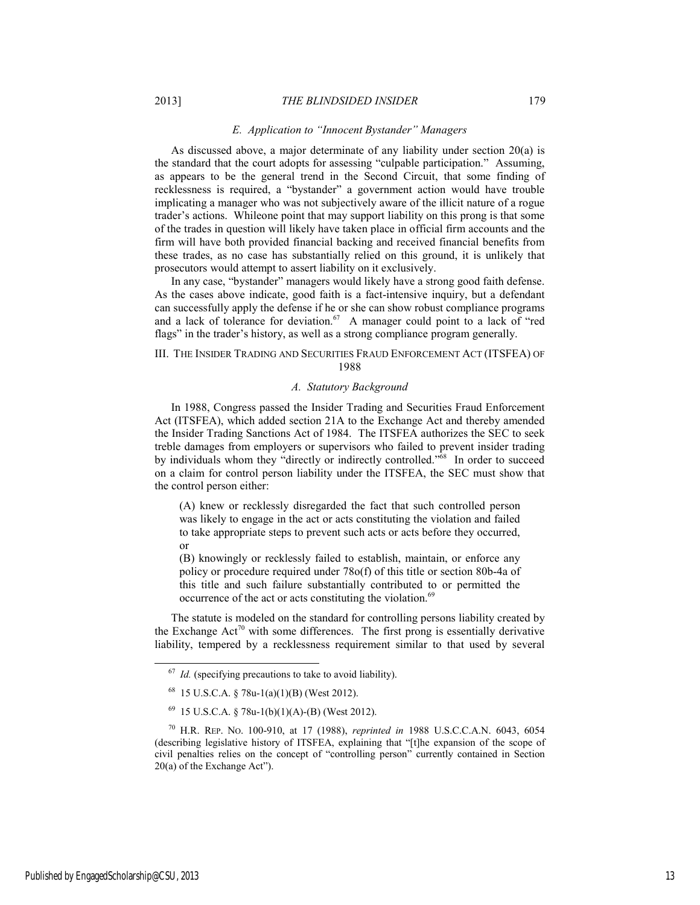#### *E. Application to "Innocent Bystander" Managers*

As discussed above, a major determinate of any liability under section 20(a) is the standard that the court adopts for assessing "culpable participation." Assuming, as appears to be the general trend in the Second Circuit, that some finding of recklessness is required, a "bystander" a government action would have trouble implicating a manager who was not subjectively aware of the illicit nature of a rogue trader's actions. Whileone point that may support liability on this prong is that some of the trades in question will likely have taken place in official firm accounts and the firm will have both provided financial backing and received financial benefits from these trades, as no case has substantially relied on this ground, it is unlikely that prosecutors would attempt to assert liability on it exclusively.

In any case, "bystander" managers would likely have a strong good faith defense. As the cases above indicate, good faith is a fact-intensive inquiry, but a defendant can successfully apply the defense if he or she can show robust compliance programs and a lack of tolerance for deviation.<sup>67</sup> A manager could point to a lack of "red flags" in the trader's history, as well as a strong compliance program generally.

#### III. THE INSIDER TRADING AND SECURITIES FRAUD ENFORCEMENT ACT (ITSFEA) OF 1988

#### *A. Statutory Background*

In 1988, Congress passed the Insider Trading and Securities Fraud Enforcement Act (ITSFEA), which added section 21A to the Exchange Act and thereby amended the Insider Trading Sanctions Act of 1984. The ITSFEA authorizes the SEC to seek treble damages from employers or supervisors who failed to prevent insider trading by individuals whom they "directly or indirectly controlled."<sup>68</sup> In order to succeed on a claim for control person liability under the ITSFEA, the SEC must show that the control person either:

(A) knew or recklessly disregarded the fact that such controlled person was likely to engage in the act or acts constituting the violation and failed to take appropriate steps to prevent such acts or acts before they occurred, or

(B) knowingly or recklessly failed to establish, maintain, or enforce any policy or procedure required under 78o(f) of this title or section 80b-4a of this title and such failure substantially contributed to or permitted the occurrence of the act or acts constituting the violation.<sup>69</sup>

The statute is modeled on the standard for controlling persons liability created by the Exchange  $Act^{70}$  with some differences. The first prong is essentially derivative liability, tempered by a recklessness requirement similar to that used by several

<sup>&</sup>lt;sup>67</sup> *Id.* (specifying precautions to take to avoid liability).

 $68$  15 U.S.C.A. § 78u-1(a)(1)(B) (West 2012).

 <sup>69 15</sup> U.S.C.A. § 78u-1(b)(1)(A)-(B) (West 2012).

<sup>70</sup> H.R. REP. NO. 100-910, at 17 (1988), *reprinted in* 1988 U.S.C.C.A.N. 6043, 6054 (describing legislative history of ITSFEA, explaining that "[t]he expansion of the scope of civil penalties relies on the concept of "controlling person" currently contained in Section 20(a) of the Exchange Act").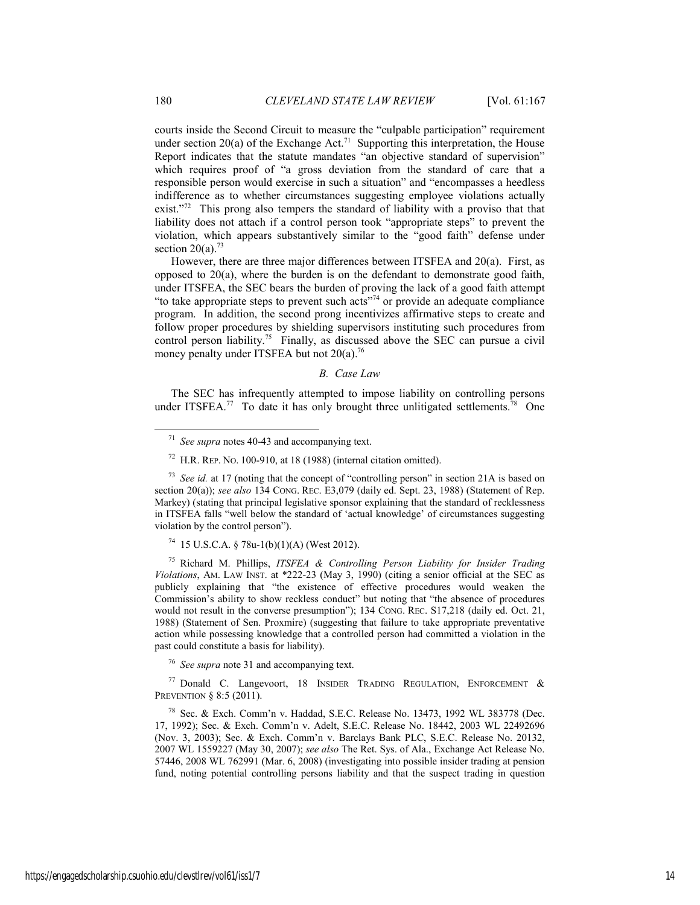courts inside the Second Circuit to measure the "culpable participation" requirement under section 20(a) of the Exchange Act.<sup>71</sup> Supporting this interpretation, the House Report indicates that the statute mandates "an objective standard of supervision" which requires proof of "a gross deviation from the standard of care that a responsible person would exercise in such a situation" and "encompasses a heedless indifference as to whether circumstances suggesting employee violations actually exist."<sup>72</sup> This prong also tempers the standard of liability with a proviso that that liability does not attach if a control person took "appropriate steps" to prevent the violation, which appears substantively similar to the "good faith" defense under section  $20(a)$ .<sup>73</sup>

However, there are three major differences between ITSFEA and 20(a). First, as opposed to  $20(a)$ , where the burden is on the defendant to demonstrate good faith, under ITSFEA, the SEC bears the burden of proving the lack of a good faith attempt "to take appropriate steps to prevent such acts"74 or provide an adequate compliance program. In addition, the second prong incentivizes affirmative steps to create and follow proper procedures by shielding supervisors instituting such procedures from control person liability.<sup>75</sup> Finally, as discussed above the SEC can pursue a civil money penalty under ITSFEA but not 20(a).<sup>76</sup>

#### *B. Case Law*

The SEC has infrequently attempted to impose liability on controlling persons under ITSFEA.<sup>77</sup> To date it has only brought three unlitigated settlements.<sup>78</sup> One

 $74$  15 U.S.C.A. § 78u-1(b)(1)(A) (West 2012).

75 Richard M. Phillips, *ITSFEA & Controlling Person Liability for Insider Trading Violations*, AM. LAW INST. at \*222-23 (May 3, 1990) (citing a senior official at the SEC as publicly explaining that "the existence of effective procedures would weaken the Commission's ability to show reckless conduct" but noting that "the absence of procedures would not result in the converse presumption"); 134 CONG. REC. S17,218 (daily ed. Oct. 21, 1988) (Statement of Sen. Proxmire) (suggesting that failure to take appropriate preventative action while possessing knowledge that a controlled person had committed a violation in the past could constitute a basis for liability).

<sup>76</sup> *See supra* note 31 and accompanying text.

<sup>77</sup> Donald C. Langevoort, 18 INSIDER TRADING REGULATION, ENFORCEMENT  $\&$ PREVENTION § 8:5 (2011).

78 Sec. & Exch. Comm'n v. Haddad, S.E.C. Release No. 13473, 1992 WL 383778 (Dec. 17, 1992); Sec. & Exch. Comm'n v. Adelt, S.E.C. Release No. 18442, 2003 WL 22492696 (Nov. 3, 2003); Sec. & Exch. Comm'n v. Barclays Bank PLC, S.E.C. Release No. 20132, 2007 WL 1559227 (May 30, 2007); *see also* The Ret. Sys. of Ala., Exchange Act Release No. 57446, 2008 WL 762991 (Mar. 6, 2008) (investigating into possible insider trading at pension fund, noting potential controlling persons liability and that the suspect trading in question

 <sup>71</sup> *See supra* notes 40-43 and accompanying text.

 $72$  H.R. REP. No. 100-910, at 18 (1988) (internal citation omitted).

<sup>&</sup>lt;sup>73</sup> *See id.* at 17 (noting that the concept of "controlling person" in section 21A is based on section 20(a)); *see also* 134 CONG. REC. E3,079 (daily ed. Sept. 23, 1988) (Statement of Rep. Markey) (stating that principal legislative sponsor explaining that the standard of recklessness in ITSFEA falls "well below the standard of 'actual knowledge' of circumstances suggesting violation by the control person").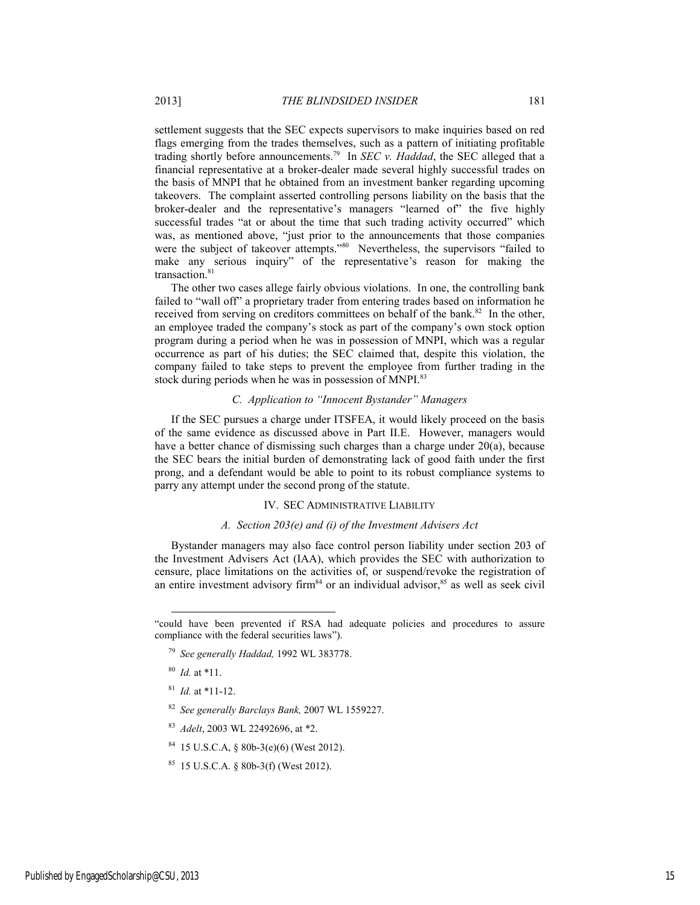settlement suggests that the SEC expects supervisors to make inquiries based on red flags emerging from the trades themselves, such as a pattern of initiating profitable trading shortly before announcements.79 In *SEC v. Haddad*, the SEC alleged that a financial representative at a broker-dealer made several highly successful trades on the basis of MNPI that he obtained from an investment banker regarding upcoming takeovers. The complaint asserted controlling persons liability on the basis that the broker-dealer and the representative's managers "learned of" the five highly successful trades "at or about the time that such trading activity occurred" which was, as mentioned above, "just prior to the announcements that those companies were the subject of takeover attempts."<sup>80</sup> Nevertheless, the supervisors "failed to make any serious inquiry" of the representative's reason for making the transaction.<sup>81</sup>

The other two cases allege fairly obvious violations. In one, the controlling bank failed to "wall off" a proprietary trader from entering trades based on information he received from serving on creditors committees on behalf of the bank.<sup>82</sup> In the other, an employee traded the company's stock as part of the company's own stock option program during a period when he was in possession of MNPI, which was a regular occurrence as part of his duties; the SEC claimed that, despite this violation, the company failed to take steps to prevent the employee from further trading in the stock during periods when he was in possession of MNPI.<sup>83</sup>

## *C. Application to "Innocent Bystander" Managers*

If the SEC pursues a charge under ITSFEA, it would likely proceed on the basis of the same evidence as discussed above in Part II.E. However, managers would have a better chance of dismissing such charges than a charge under  $20(a)$ , because the SEC bears the initial burden of demonstrating lack of good faith under the first prong, and a defendant would be able to point to its robust compliance systems to parry any attempt under the second prong of the statute.

#### IV. SEC ADMINISTRATIVE LIABILITY

#### *A. Section 203(e) and (i) of the Investment Advisers Act*

Bystander managers may also face control person liability under section 203 of the Investment Advisers Act (IAA), which provides the SEC with authorization to censure, place limitations on the activities of, or suspend/revoke the registration of an entire investment advisory firm<sup>84</sup> or an individual advisor,  $85$  as well as seek civil

 $\overline{\phantom{a}}$ 

<sup>81</sup> *Id.* at \*11-12.

- <sup>82</sup> *See generally Barclays Bank,* 2007 WL 1559227.
- <sup>83</sup> *Adelt*, 2003 WL 22492696, at \*2.
- 84 15 U.S.C.A, § 80b-3(e)(6) (West 2012).
- $85$  15 U.S.C.A. § 80b-3(f) (West 2012).

<sup>&</sup>quot;could have been prevented if RSA had adequate policies and procedures to assure compliance with the federal securities laws").

<sup>79</sup> *See generally Haddad,* 1992 WL 383778.

<sup>80</sup> *Id.* at \*11.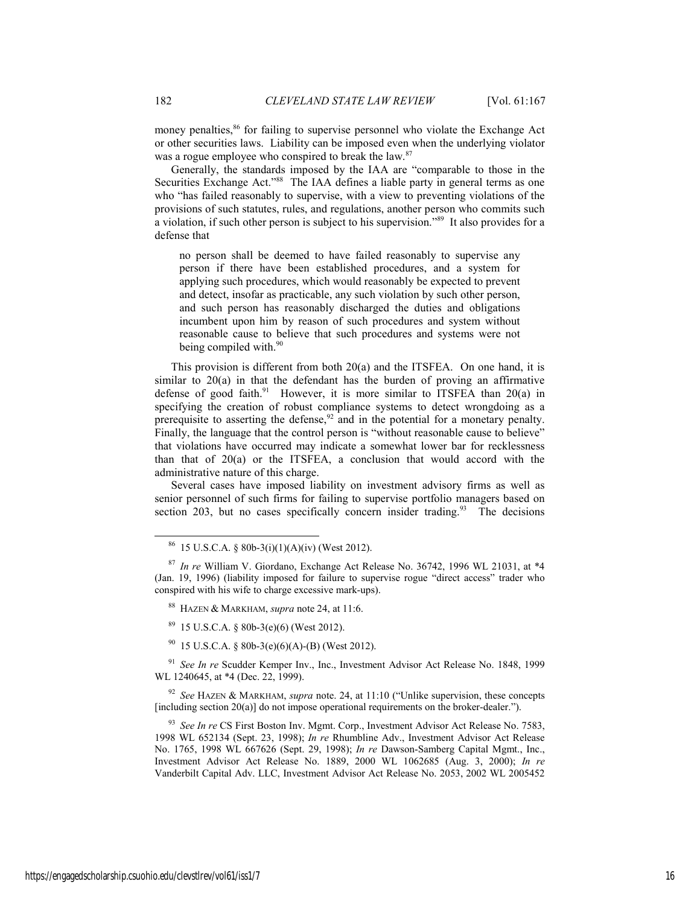money penalties,<sup>86</sup> for failing to supervise personnel who violate the Exchange Act or other securities laws. Liability can be imposed even when the underlying violator was a rogue employee who conspired to break the law.<sup>87</sup>

Generally, the standards imposed by the IAA are "comparable to those in the Securities Exchange Act."<sup>88</sup> The IAA defines a liable party in general terms as one who "has failed reasonably to supervise, with a view to preventing violations of the provisions of such statutes, rules, and regulations, another person who commits such a violation, if such other person is subject to his supervision."89 It also provides for a defense that

no person shall be deemed to have failed reasonably to supervise any person if there have been established procedures, and a system for applying such procedures, which would reasonably be expected to prevent and detect, insofar as practicable, any such violation by such other person, and such person has reasonably discharged the duties and obligations incumbent upon him by reason of such procedures and system without reasonable cause to believe that such procedures and systems were not being compiled with.<sup>90</sup>

This provision is different from both 20(a) and the ITSFEA. On one hand, it is similar to 20(a) in that the defendant has the burden of proving an affirmative defense of good faith.<sup>91</sup> However, it is more similar to ITSFEA than  $20(a)$  in specifying the creation of robust compliance systems to detect wrongdoing as a prerequisite to asserting the defense, $92$  and in the potential for a monetary penalty. Finally, the language that the control person is "without reasonable cause to believe" that violations have occurred may indicate a somewhat lower bar for recklessness than that of 20(a) or the ITSFEA, a conclusion that would accord with the administrative nature of this charge.

Several cases have imposed liability on investment advisory firms as well as senior personnel of such firms for failing to supervise portfolio managers based on section 203, but no cases specifically concern insider trading.<sup>93</sup> The decisions

- $89$  15 U.S.C.A. § 80b-3(e)(6) (West 2012).
- $90$  15 U.S.C.A. § 80b-3(e)(6)(A)-(B) (West 2012).

<sup>91</sup> *See In re* Scudder Kemper Inv., Inc., Investment Advisor Act Release No. 1848, 1999 WL 1240645, at \*4 (Dec. 22, 1999).

<sup>92</sup> *See* HAZEN & MARKHAM, *supra* note. 24, at 11:10 ("Unlike supervision, these concepts [including section 20(a)] do not impose operational requirements on the broker-dealer.").

<sup>93</sup> *See In re* CS First Boston Inv. Mgmt. Corp., Investment Advisor Act Release No. 7583, 1998 WL 652134 (Sept. 23, 1998); *In re* Rhumbline Adv., Investment Advisor Act Release No. 1765, 1998 WL 667626 (Sept. 29, 1998); *In re* Dawson-Samberg Capital Mgmt., Inc., Investment Advisor Act Release No. 1889, 2000 WL 1062685 (Aug. 3, 2000); *In re* Vanderbilt Capital Adv. LLC, Investment Advisor Act Release No. 2053, 2002 WL 2005452

 $86$  15 U.S.C.A. § 80b-3(i)(1)(A)(iv) (West 2012).

<sup>87</sup> *In re* William V. Giordano, Exchange Act Release No. 36742, 1996 WL 21031, at \*4 (Jan. 19, 1996) (liability imposed for failure to supervise rogue "direct access" trader who conspired with his wife to charge excessive mark-ups).

<sup>88</sup> HAZEN & MARKHAM, *supra* note 24, at 11:6.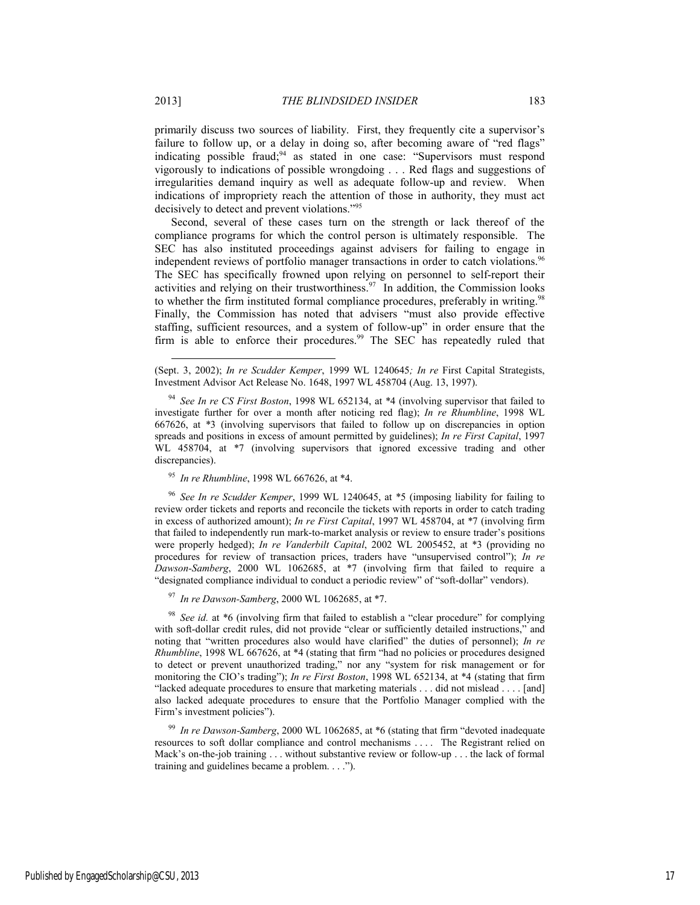primarily discuss two sources of liability. First, they frequently cite a supervisor's failure to follow up, or a delay in doing so, after becoming aware of "red flags" indicating possible fraud;<sup>94</sup> as stated in one case: "Supervisors must respond vigorously to indications of possible wrongdoing . . . Red flags and suggestions of irregularities demand inquiry as well as adequate follow-up and review. When indications of impropriety reach the attention of those in authority, they must act decisively to detect and prevent violations."95

Second, several of these cases turn on the strength or lack thereof of the compliance programs for which the control person is ultimately responsible. The SEC has also instituted proceedings against advisers for failing to engage in independent reviews of portfolio manager transactions in order to catch violations.<sup>96</sup> The SEC has specifically frowned upon relying on personnel to self-report their activities and relying on their trustworthiness. $97$  In addition, the Commission looks to whether the firm instituted formal compliance procedures, preferably in writing.<sup>98</sup> Finally, the Commission has noted that advisers "must also provide effective staffing, sufficient resources, and a system of follow-up" in order ensure that the firm is able to enforce their procedures.<sup>99</sup> The SEC has repeatedly ruled that

<sup>95</sup> *In re Rhumbline*, 1998 WL 667626, at \*4.

<sup>96</sup> *See In re Scudder Kemper*, 1999 WL 1240645, at \*5 (imposing liability for failing to review order tickets and reports and reconcile the tickets with reports in order to catch trading in excess of authorized amount); *In re First Capital*, 1997 WL 458704, at \*7 (involving firm that failed to independently run mark-to-market analysis or review to ensure trader's positions were properly hedged); *In re Vanderbilt Capital*, 2002 WL 2005452, at \*3 (providing no procedures for review of transaction prices, traders have "unsupervised control"); *In re Dawson-Samberg*, 2000 WL 1062685, at \*7 (involving firm that failed to require a "designated compliance individual to conduct a periodic review" of "soft-dollar" vendors).

<sup>97</sup> *In re Dawson-Samberg*, 2000 WL 1062685, at \*7.

<sup>98</sup> *See id.* at \*6 (involving firm that failed to establish a "clear procedure" for complying with soft-dollar credit rules, did not provide "clear or sufficiently detailed instructions," and noting that "written procedures also would have clarified" the duties of personnel); *In re Rhumbline*, 1998 WL 667626, at \*4 (stating that firm "had no policies or procedures designed to detect or prevent unauthorized trading," nor any "system for risk management or for monitoring the CIO's trading"); *In re First Boston*, 1998 WL 652134, at \*4 (stating that firm "lacked adequate procedures to ensure that marketing materials . . . did not mislead . . . . [and] also lacked adequate procedures to ensure that the Portfolio Manager complied with the Firm's investment policies").

<sup>99</sup> *In re Dawson-Samberg*, 2000 WL 1062685, at \*6 (stating that firm "devoted inadequate resources to soft dollar compliance and control mechanisms . . . . The Registrant relied on Mack's on-the-job training . . . without substantive review or follow-up . . . the lack of formal training and guidelines became a problem. . . .").

l

<sup>(</sup>Sept. 3, 2002); *In re Scudder Kemper*, 1999 WL 1240645*; In re* First Capital Strategists, Investment Advisor Act Release No. 1648, 1997 WL 458704 (Aug. 13, 1997).

<sup>94</sup> *See In re CS First Boston*, 1998 WL 652134, at \*4 (involving supervisor that failed to investigate further for over a month after noticing red flag); *In re Rhumbline*, 1998 WL 667626, at \*3 (involving supervisors that failed to follow up on discrepancies in option spreads and positions in excess of amount permitted by guidelines); *In re First Capital*, 1997 WL 458704, at  $*7$  (involving supervisors that ignored excessive trading and other discrepancies).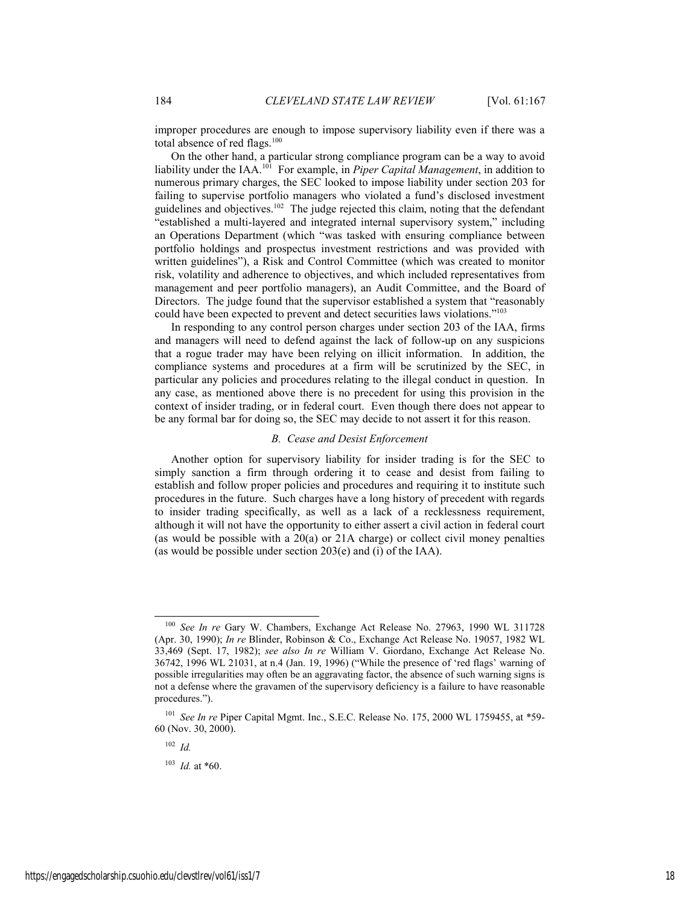improper procedures are enough to impose supervisory liability even if there was a total absence of red flags.<sup>100</sup>

On the other hand, a particular strong compliance program can be a way to avoid liability under the IAA.101 For example, in *Piper Capital Management*, in addition to numerous primary charges, the SEC looked to impose liability under section 203 for failing to supervise portfolio managers who violated a fund's disclosed investment guidelines and objectives.<sup>102</sup> The judge rejected this claim, noting that the defendant "established a multi-layered and integrated internal supervisory system," including an Operations Department (which "was tasked with ensuring compliance between portfolio holdings and prospectus investment restrictions and was provided with written guidelines"), a Risk and Control Committee (which was created to monitor risk, volatility and adherence to objectives, and which included representatives from management and peer portfolio managers), an Audit Committee, and the Board of Directors. The judge found that the supervisor established a system that "reasonably could have been expected to prevent and detect securities laws violations."103

In responding to any control person charges under section 203 of the IAA, firms and managers will need to defend against the lack of follow-up on any suspicions that a rogue trader may have been relying on illicit information. In addition, the compliance systems and procedures at a firm will be scrutinized by the SEC, in particular any policies and procedures relating to the illegal conduct in question. In any case, as mentioned above there is no precedent for using this provision in the context of insider trading, or in federal court. Even though there does not appear to be any formal bar for doing so, the SEC may decide to not assert it for this reason.

#### *B. Cease and Desist Enforcement*

Another option for supervisory liability for insider trading is for the SEC to simply sanction a firm through ordering it to cease and desist from failing to establish and follow proper policies and procedures and requiring it to institute such procedures in the future. Such charges have a long history of precedent with regards to insider trading specifically, as well as a lack of a recklessness requirement, although it will not have the opportunity to either assert a civil action in federal court (as would be possible with a 20(a) or 21A charge) or collect civil money penalties (as would be possible under section 203(e) and (i) of the IAA).

<sup>102</sup> *Id.*

<sup>103</sup> *Id.* at \*60.

 <sup>100</sup> *See In re* Gary W. Chambers, Exchange Act Release No. 27963, 1990 WL 311728 (Apr. 30, 1990); *In re* Blinder, Robinson & Co., Exchange Act Release No. 19057, 1982 WL 33,469 (Sept. 17, 1982); *see also In re* William V. Giordano, Exchange Act Release No. 36742, 1996 WL 21031, at n.4 (Jan. 19, 1996) ("While the presence of 'red flags' warning of possible irregularities may often be an aggravating factor, the absence of such warning signs is not a defense where the gravamen of the supervisory deficiency is a failure to have reasonable procedures.").

<sup>&</sup>lt;sup>101</sup> *See In re* Piper Capital Mgmt. Inc., S.E.C. Release No. 175, 2000 WL 1759455, at \*59-60 (Nov. 30, 2000).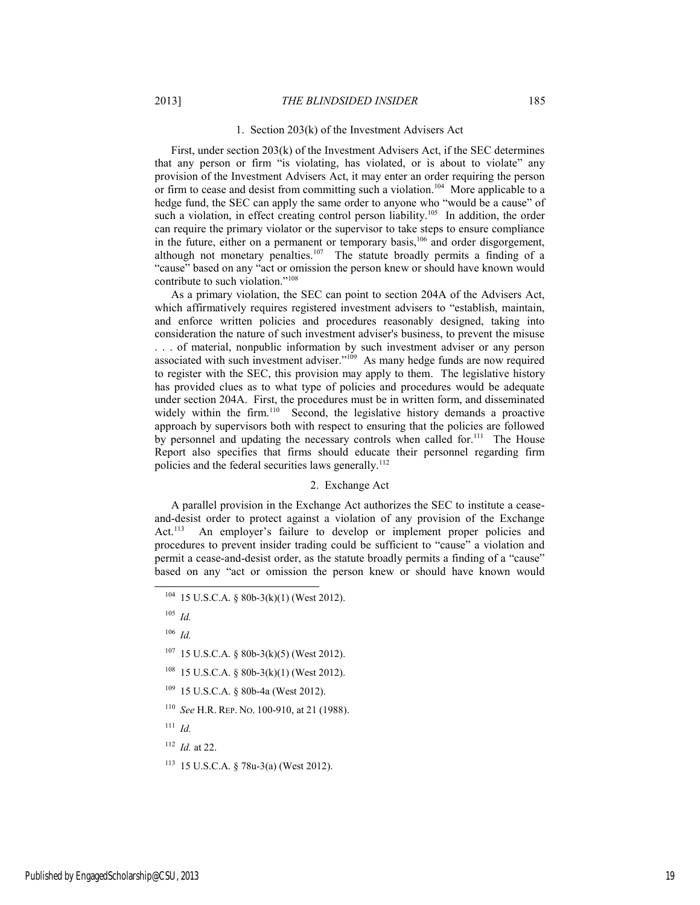#### 1. Section 203(k) of the Investment Advisers Act

First, under section 203(k) of the Investment Advisers Act, if the SEC determines that any person or firm "is violating, has violated, or is about to violate" any provision of the Investment Advisers Act, it may enter an order requiring the person or firm to cease and desist from committing such a violation.<sup>104</sup> More applicable to a hedge fund, the SEC can apply the same order to anyone who "would be a cause" of such a violation, in effect creating control person liability.<sup>105</sup> In addition, the order can require the primary violator or the supervisor to take steps to ensure compliance in the future, either on a permanent or temporary basis,<sup>106</sup> and order disgorgement, although not monetary penalties.<sup>107</sup> The statute broadly permits a finding of a "cause" based on any "act or omission the person knew or should have known would contribute to such violation."108

As a primary violation, the SEC can point to section 204A of the Advisers Act, which affirmatively requires registered investment advisers to "establish, maintain, and enforce written policies and procedures reasonably designed, taking into consideration the nature of such investment adviser's business, to prevent the misuse . . . of material, nonpublic information by such investment adviser or any person associated with such investment adviser."109 As many hedge funds are now required to register with the SEC, this provision may apply to them. The legislative history has provided clues as to what type of policies and procedures would be adequate under section 204A. First, the procedures must be in written form, and disseminated widely within the firm.<sup>110</sup> Second, the legislative history demands a proactive approach by supervisors both with respect to ensuring that the policies are followed by personnel and updating the necessary controls when called for.<sup>111</sup> The House Report also specifies that firms should educate their personnel regarding firm policies and the federal securities laws generally.<sup>112</sup>

#### 2. Exchange Act

A parallel provision in the Exchange Act authorizes the SEC to institute a ceaseand-desist order to protect against a violation of any provision of the Exchange Act.<sup>113</sup> An employer's failure to develop or implement proper policies and procedures to prevent insider trading could be sufficient to "cause" a violation and permit a cease-and-desist order, as the statute broadly permits a finding of a "cause" based on any "act or omission the person knew or should have known would

- $107$  15 U.S.C.A. § 80b-3(k)(5) (West 2012).
- 108 15 U.S.C.A. § 80b-3(k)(1) (West 2012).
- 109 15 U.S.C.A. § 80b-4a (West 2012).
- <sup>110</sup> *See* H.R. REP. NO. 100-910, at 21 (1988).
- <sup>111</sup> *Id.*
- <sup>112</sup> *Id.* at 22.
- 113 15 U.S.C.A. § 78u-3(a) (West 2012).

 <sup>104 15</sup> U.S.C.A. § 80b-3(k)(1) (West 2012).

<sup>105</sup> *Id.*

<sup>106</sup> *Id.*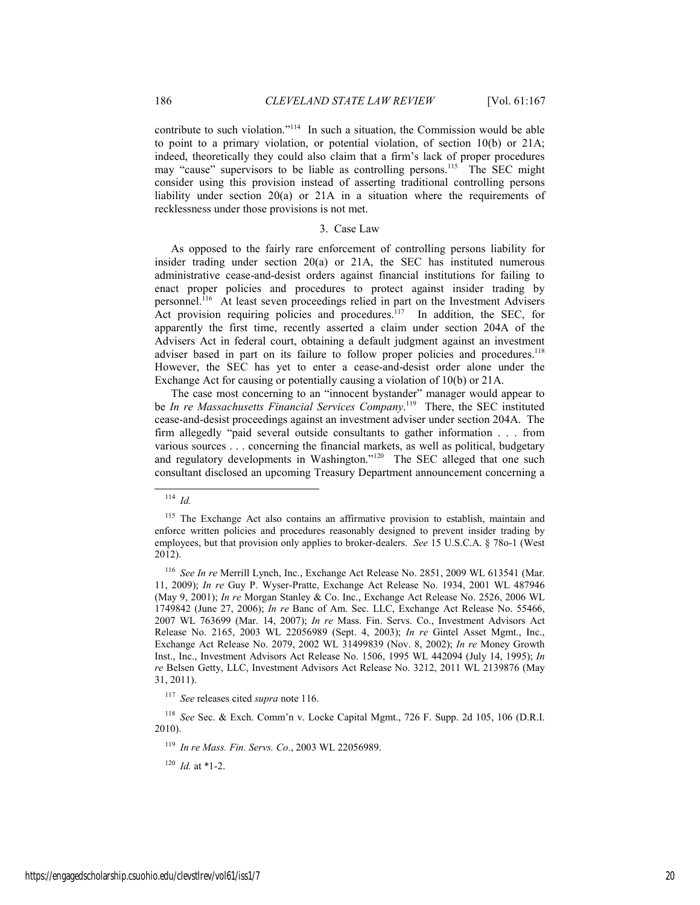contribute to such violation."114 In such a situation, the Commission would be able to point to a primary violation, or potential violation, of section 10(b) or 21A; indeed, theoretically they could also claim that a firm's lack of proper procedures may "cause" supervisors to be liable as controlling persons.<sup>115</sup> The SEC might consider using this provision instead of asserting traditional controlling persons liability under section 20(a) or 21A in a situation where the requirements of recklessness under those provisions is not met.

#### 3. Case Law

As opposed to the fairly rare enforcement of controlling persons liability for insider trading under section 20(a) or 21A, the SEC has instituted numerous administrative cease-and-desist orders against financial institutions for failing to enact proper policies and procedures to protect against insider trading by personnel.<sup>116</sup> At least seven proceedings relied in part on the Investment Advisers Act provision requiring policies and procedures.<sup>117</sup> In addition, the SEC, for apparently the first time, recently asserted a claim under section 204A of the Advisers Act in federal court, obtaining a default judgment against an investment adviser based in part on its failure to follow proper policies and procedures.<sup>118</sup> However, the SEC has yet to enter a cease-and-desist order alone under the Exchange Act for causing or potentially causing a violation of 10(b) or 21A.

The case most concerning to an "innocent bystander" manager would appear to be *In re Massachusetts Financial Services Company*.<sup>119</sup> There, the SEC instituted cease-and-desist proceedings against an investment adviser under section 204A. The firm allegedly "paid several outside consultants to gather information . . . from various sources . . . concerning the financial markets, as well as political, budgetary and regulatory developments in Washington."<sup>120</sup> The SEC alleged that one such consultant disclosed an upcoming Treasury Department announcement concerning a

 <sup>114</sup> *Id.*

<sup>&</sup>lt;sup>115</sup> The Exchange Act also contains an affirmative provision to establish, maintain and enforce written policies and procedures reasonably designed to prevent insider trading by employees, but that provision only applies to broker-dealers. *See* 15 U.S.C.A. § 78o-1 (West 2012).

<sup>116</sup> *See In re* Merrill Lynch, Inc., Exchange Act Release No. 2851, 2009 WL 613541 (Mar. 11, 2009); *In re* Guy P. Wyser-Pratte, Exchange Act Release No. 1934, 2001 WL 487946 (May 9, 2001); *In re* Morgan Stanley & Co. Inc., Exchange Act Release No. 2526, 2006 WL 1749842 (June 27, 2006); *In re* Banc of Am. Sec. LLC, Exchange Act Release No. 55466, 2007 WL 763699 (Mar. 14, 2007); *In re* Mass. Fin. Servs. Co., Investment Advisors Act Release No. 2165, 2003 WL 22056989 (Sept. 4, 2003); *In re* Gintel Asset Mgmt., Inc., Exchange Act Release No. 2079, 2002 WL 31499839 (Nov. 8, 2002); *In re* Money Growth Inst., Inc., Investment Advisors Act Release No. 1506, 1995 WL 442094 (July 14, 1995); *In re* Belsen Getty, LLC, Investment Advisors Act Release No. 3212, 2011 WL 2139876 (May 31, 2011).

<sup>117</sup> *See* releases cited *supra* note 116.

<sup>118</sup> *See* Sec. & Exch. Comm'n v. Locke Capital Mgmt., 726 F. Supp. 2d 105, 106 (D.R.I. 2010).

<sup>119</sup> *In re Mass. Fin. Servs. Co.*, 2003 WL 22056989.

<sup>120</sup> *Id.* at \*1-2.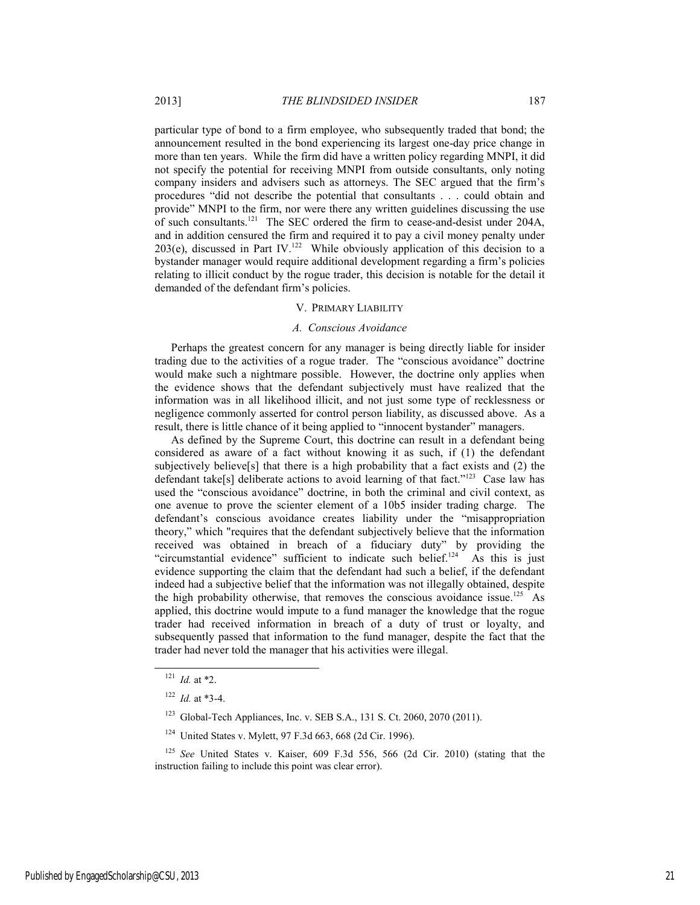particular type of bond to a firm employee, who subsequently traded that bond; the announcement resulted in the bond experiencing its largest one-day price change in more than ten years. While the firm did have a written policy regarding MNPI, it did not specify the potential for receiving MNPI from outside consultants, only noting company insiders and advisers such as attorneys. The SEC argued that the firm's procedures "did not describe the potential that consultants . . . could obtain and provide" MNPI to the firm, nor were there any written guidelines discussing the use of such consultants.121 The SEC ordered the firm to cease-and-desist under 204A, and in addition censured the firm and required it to pay a civil money penalty under 203(e), discussed in Part IV.<sup>122</sup> While obviously application of this decision to a bystander manager would require additional development regarding a firm's policies relating to illicit conduct by the rogue trader, this decision is notable for the detail it demanded of the defendant firm's policies.

#### V. PRIMARY LIABILITY

#### *A. Conscious Avoidance*

Perhaps the greatest concern for any manager is being directly liable for insider trading due to the activities of a rogue trader. The "conscious avoidance" doctrine would make such a nightmare possible. However, the doctrine only applies when the evidence shows that the defendant subjectively must have realized that the information was in all likelihood illicit, and not just some type of recklessness or negligence commonly asserted for control person liability, as discussed above. As a result, there is little chance of it being applied to "innocent bystander" managers.

As defined by the Supreme Court, this doctrine can result in a defendant being considered as aware of a fact without knowing it as such, if (1) the defendant subjectively believe[s] that there is a high probability that a fact exists and (2) the defendant take[s] deliberate actions to avoid learning of that fact."<sup>123</sup> Case law has used the "conscious avoidance" doctrine, in both the criminal and civil context, as one avenue to prove the scienter element of a 10b5 insider trading charge. The defendant's conscious avoidance creates liability under the "misappropriation theory," which "requires that the defendant subjectively believe that the information received was obtained in breach of a fiduciary duty" by providing the "circumstantial evidence" sufficient to indicate such belief.<sup>124</sup> As this is just evidence supporting the claim that the defendant had such a belief, if the defendant indeed had a subjective belief that the information was not illegally obtained, despite the high probability otherwise, that removes the conscious avoidance issue.<sup>125</sup> As applied, this doctrine would impute to a fund manager the knowledge that the rogue trader had received information in breach of a duty of trust or loyalty, and subsequently passed that information to the fund manager, despite the fact that the trader had never told the manager that his activities were illegal.

 <sup>121</sup> *Id.* at \*2.

<sup>122</sup> *Id.* at \*3-4.

<sup>123</sup> Global-Tech Appliances, Inc. v. SEB S.A., 131 S. Ct. 2060, 2070 (2011).

<sup>124</sup> United States v. Mylett, 97 F.3d 663, 668 (2d Cir. 1996).

<sup>125</sup> *See* United States v. Kaiser, 609 F.3d 556, 566 (2d Cir. 2010) (stating that the instruction failing to include this point was clear error).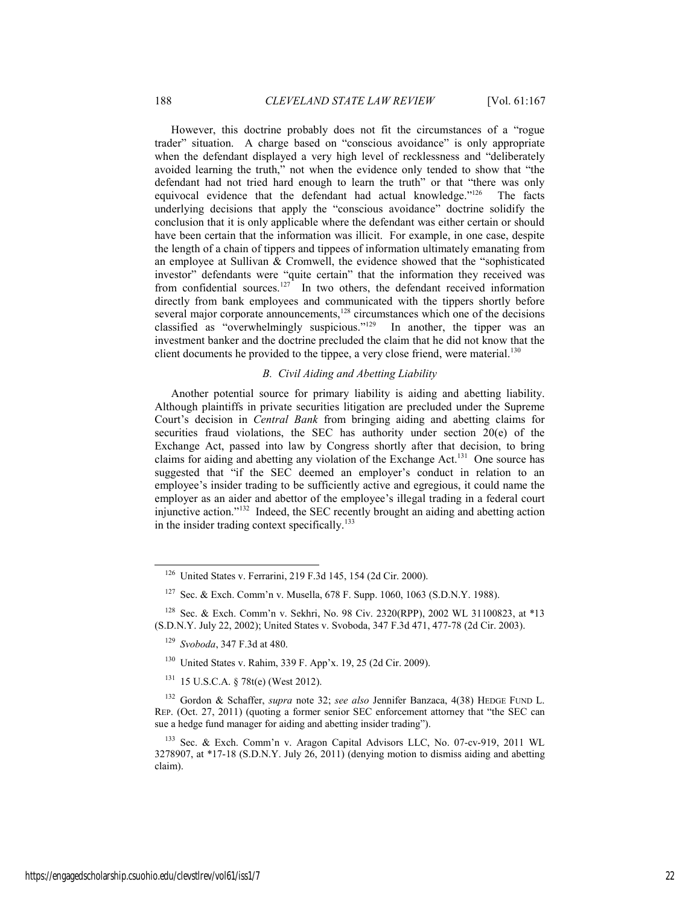However, this doctrine probably does not fit the circumstances of a "rogue trader" situation. A charge based on "conscious avoidance" is only appropriate when the defendant displayed a very high level of recklessness and "deliberately avoided learning the truth," not when the evidence only tended to show that "the defendant had not tried hard enough to learn the truth" or that "there was only equivocal evidence that the defendant had actual knowledge."<sup>126</sup> The facts underlying decisions that apply the "conscious avoidance" doctrine solidify the conclusion that it is only applicable where the defendant was either certain or should have been certain that the information was illicit. For example, in one case, despite the length of a chain of tippers and tippees of information ultimately emanating from an employee at Sullivan & Cromwell, the evidence showed that the "sophisticated investor" defendants were "quite certain" that the information they received was from confidential sources.<sup>127</sup> In two others, the defendant received information directly from bank employees and communicated with the tippers shortly before several major corporate announcements, $128$  circumstances which one of the decisions classified as "overwhelmingly suspicious." $129$  In another, the tipper was an investment banker and the doctrine precluded the claim that he did not know that the client documents he provided to the tippee, a very close friend, were material.<sup>130</sup>

#### *B. Civil Aiding and Abetting Liability*

Another potential source for primary liability is aiding and abetting liability. Although plaintiffs in private securities litigation are precluded under the Supreme Court's decision in *Central Bank* from bringing aiding and abetting claims for securities fraud violations, the SEC has authority under section 20(e) of the Exchange Act, passed into law by Congress shortly after that decision, to bring claims for aiding and abetting any violation of the Exchange Act.131 One source has suggested that "if the SEC deemed an employer's conduct in relation to an employee's insider trading to be sufficiently active and egregious, it could name the employer as an aider and abettor of the employee's illegal trading in a federal court injunctive action."132 Indeed, the SEC recently brought an aiding and abetting action in the insider trading context specifically.<sup>133</sup>

- <sup>129</sup> *Svoboda*, 347 F.3d at 480.
- 130 United States v. Rahim, 339 F. App'x. 19, 25 (2d Cir. 2009).
- 131 15 U.S.C.A. § 78t(e) (West 2012).
- 132 Gordon & Schaffer, *supra* note 32; *see also* Jennifer Banzaca, 4(38) HEDGE FUND L. REP. (Oct. 27, 2011) (quoting a former senior SEC enforcement attorney that "the SEC can sue a hedge fund manager for aiding and abetting insider trading").

 <sup>126</sup> United States v. Ferrarini, 219 F.3d 145, 154 (2d Cir. 2000).

<sup>127</sup> Sec. & Exch. Comm'n v. Musella, 678 F. Supp. 1060, 1063 (S.D.N.Y. 1988).

<sup>128</sup> Sec. & Exch. Comm'n v. Sekhri, No. 98 Civ. 2320(RPP), 2002 WL 31100823, at \*13 (S.D.N.Y. July 22, 2002); United States v. Svoboda, 347 F.3d 471, 477-78 (2d Cir. 2003).

<sup>133</sup> Sec. & Exch. Comm'n v. Aragon Capital Advisors LLC, No. 07-cv-919, 2011 WL 3278907, at  $*17-18$  (S.D.N.Y. July 26, 2011) (denying motion to dismiss aiding and abetting claim).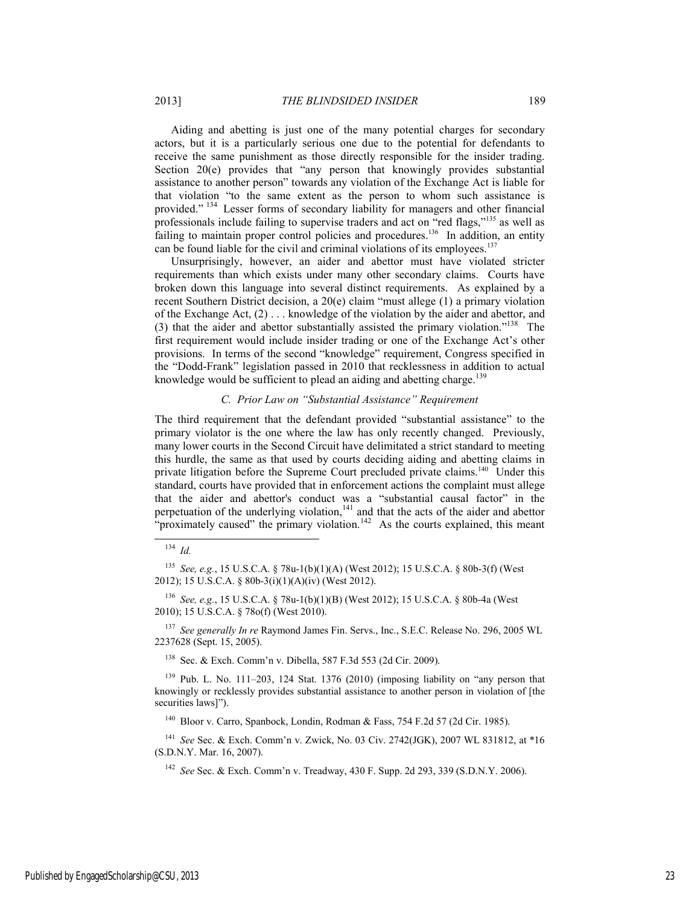Aiding and abetting is just one of the many potential charges for secondary actors, but it is a particularly serious one due to the potential for defendants to receive the same punishment as those directly responsible for the insider trading. Section 20(e) provides that "any person that knowingly provides substantial assistance to another person" towards any violation of the Exchange Act is liable for that violation "to the same extent as the person to whom such assistance is provided." 134 Lesser forms of secondary liability for managers and other financial professionals include failing to supervise traders and act on "red flags,"135 as well as failing to maintain proper control policies and procedures.<sup>136</sup> In addition, an entity can be found liable for the civil and criminal violations of its employees.<sup>137</sup>

Unsurprisingly, however, an aider and abettor must have violated stricter requirements than which exists under many other secondary claims. Courts have broken down this language into several distinct requirements. As explained by a recent Southern District decision, a 20(e) claim "must allege (1) a primary violation of the Exchange Act, (2) . . . knowledge of the violation by the aider and abettor, and (3) that the aider and abettor substantially assisted the primary violation."138 The first requirement would include insider trading or one of the Exchange Act's other provisions. In terms of the second "knowledge" requirement, Congress specified in the "Dodd-Frank" legislation passed in 2010 that recklessness in addition to actual knowledge would be sufficient to plead an aiding and abetting charge.<sup>139</sup>

### *C. Prior Law on "Substantial Assistance" Requirement*

The third requirement that the defendant provided "substantial assistance" to the primary violator is the one where the law has only recently changed. Previously, many lower courts in the Second Circuit have delimitated a strict standard to meeting this hurdle, the same as that used by courts deciding aiding and abetting claims in private litigation before the Supreme Court precluded private claims.<sup>140</sup> Under this standard, courts have provided that in enforcement actions the complaint must allege that the aider and abettor's conduct was a "substantial causal factor" in the perpetuation of the underlying violation, $141$  and that the acts of the aider and abettor "proximately caused" the primary violation.<sup>142</sup> As the courts explained, this meant

<sup>136</sup> *See, e.g.*, 15 U.S.C.A. § 78u-1(b)(1)(B) (West 2012); 15 U.S.C.A. § 80b-4a (West 2010); 15 U.S.C.A. § 78o(f) (West 2010).

<sup>137</sup> *See generally In re* Raymond James Fin. Servs., Inc., S.E.C. Release No. 296, 2005 WL 2237628 (Sept. 15, 2005).

138 Sec. & Exch. Comm'n v. Dibella, 587 F.3d 553 (2d Cir. 2009).

139 Pub. L. No. 111–203, 124 Stat. 1376 (2010) (imposing liability on "any person that knowingly or recklessly provides substantial assistance to another person in violation of [the securities laws]").

<sup>140</sup> Bloor v. Carro, Spanbock, Londin, Rodman & Fass, 754 F.2d 57 (2d Cir. 1985).

<sup>141</sup> *See* Sec. & Exch. Comm'n v. Zwick, No. 03 Civ. 2742(JGK), 2007 WL 831812, at \*16 (S.D.N.Y. Mar. 16, 2007).

<sup>142</sup> *See* Sec. & Exch. Comm'n v. Treadway, 430 F. Supp. 2d 293, 339 (S.D.N.Y. 2006).

 <sup>134</sup> *Id.*

<sup>135</sup> *See, e.g.*, 15 U.S.C.A. § 78u-1(b)(1)(A) (West 2012); 15 U.S.C.A. § 80b-3(f) (West 2012); 15 U.S.C.A. § 80b-3(i)(1)(A)(iv) (West 2012).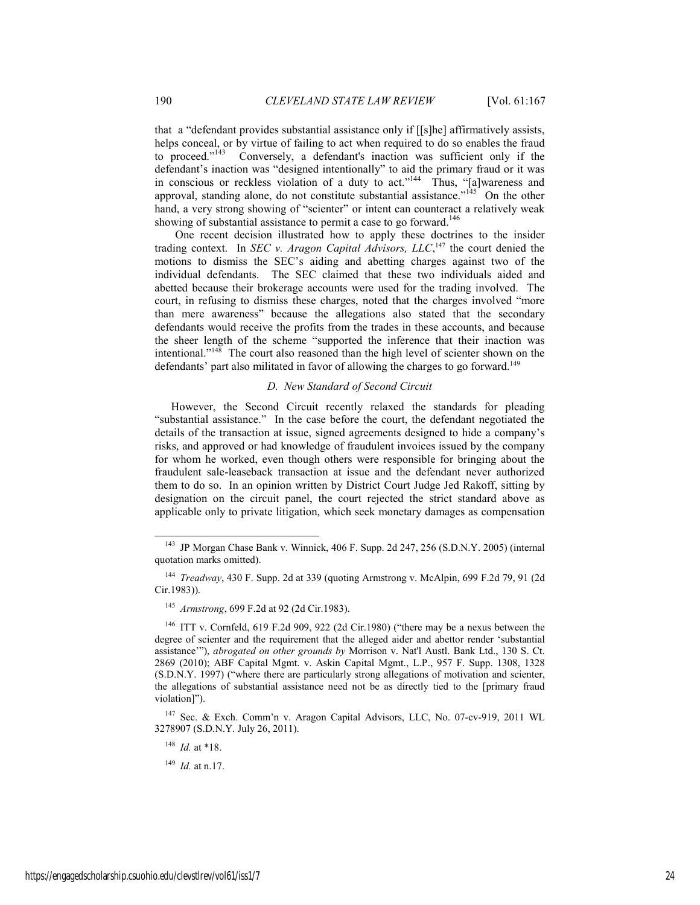that a "defendant provides substantial assistance only if [[s]he] affirmatively assists, helps conceal, or by virtue of failing to act when required to do so enables the fraud to proceed."<sup>143</sup> Conversely, a defendant's inaction was sufficient only if the defendant's inaction was "designed intentionally" to aid the primary fraud or it was in conscious or reckless violation of a duty to act."<sup>144</sup> Thus, "[a]wareness and approval, standing alone, do not constitute substantial assistance." $145$  On the other hand, a very strong showing of "scienter" or intent can counteract a relatively weak showing of substantial assistance to permit a case to go forward.<sup>146</sup>

One recent decision illustrated how to apply these doctrines to the insider trading context. In *SEC v. Aragon Capital Advisors, LLC*,<sup>147</sup> the court denied the motions to dismiss the SEC's aiding and abetting charges against two of the individual defendants. The SEC claimed that these two individuals aided and abetted because their brokerage accounts were used for the trading involved. The court, in refusing to dismiss these charges, noted that the charges involved "more than mere awareness" because the allegations also stated that the secondary defendants would receive the profits from the trades in these accounts, and because the sheer length of the scheme "supported the inference that their inaction was intentional."148 The court also reasoned than the high level of scienter shown on the defendants' part also militated in favor of allowing the charges to go forward.<sup>149</sup>

#### *D. New Standard of Second Circuit*

However, the Second Circuit recently relaxed the standards for pleading "substantial assistance." In the case before the court, the defendant negotiated the details of the transaction at issue, signed agreements designed to hide a company's risks, and approved or had knowledge of fraudulent invoices issued by the company for whom he worked, even though others were responsible for bringing about the fraudulent sale-leaseback transaction at issue and the defendant never authorized them to do so. In an opinion written by District Court Judge Jed Rakoff, sitting by designation on the circuit panel, the court rejected the strict standard above as applicable only to private litigation, which seek monetary damages as compensation

147 Sec. & Exch. Comm'n v. Aragon Capital Advisors, LLC, No. 07-cv-919, 2011 WL 3278907 (S.D.N.Y. July 26, 2011).

<sup>148</sup> *Id.* at \*18.

<sup>149</sup> *Id.* at n.17.

 <sup>143</sup> JP Morgan Chase Bank v. Winnick, 406 F. Supp. 2d 247, 256 (S.D.N.Y. 2005) (internal quotation marks omitted).

<sup>144</sup> *Treadway*, 430 F. Supp. 2d at 339 (quoting Armstrong v. McAlpin, 699 F.2d 79, 91 (2d Cir.1983)).

<sup>145</sup> *Armstrong*, 699 F.2d at 92 (2d Cir.1983).

<sup>146</sup> ITT v. Cornfeld, 619 F.2d 909, 922 (2d Cir.1980) ("there may be a nexus between the degree of scienter and the requirement that the alleged aider and abettor render 'substantial assistance'"), *abrogated on other grounds by* Morrison v. Nat'l Austl. Bank Ltd., 130 S. Ct. 2869 (2010); ABF Capital Mgmt. v. Askin Capital Mgmt., L.P., 957 F. Supp. 1308, 1328 (S.D.N.Y. 1997) ("where there are particularly strong allegations of motivation and scienter, the allegations of substantial assistance need not be as directly tied to the [primary fraud violation]").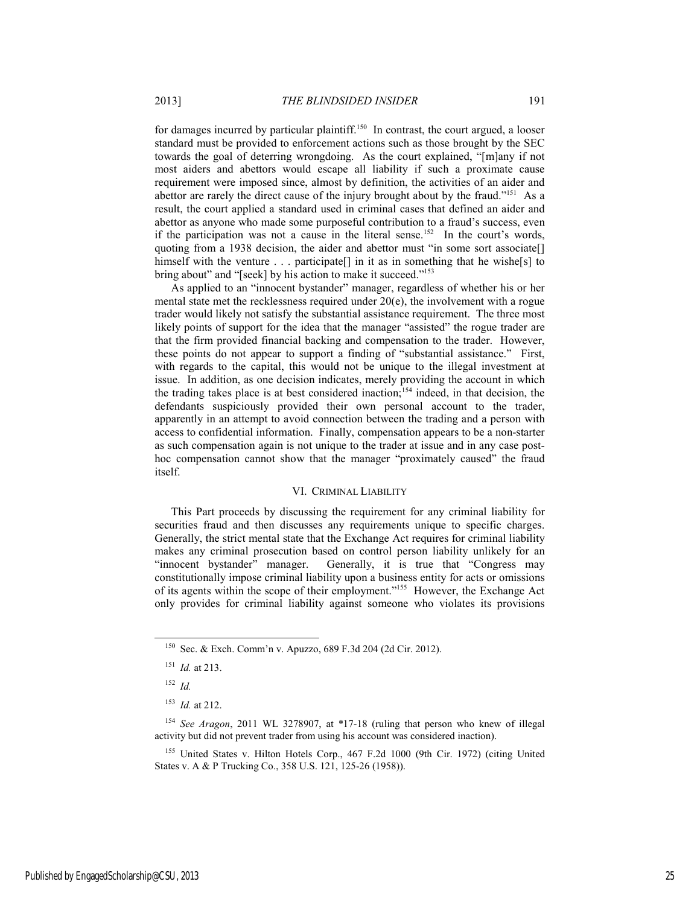for damages incurred by particular plaintiff.<sup>150</sup> In contrast, the court argued, a looser standard must be provided to enforcement actions such as those brought by the SEC towards the goal of deterring wrongdoing. As the court explained, "[m]any if not most aiders and abettors would escape all liability if such a proximate cause requirement were imposed since, almost by definition, the activities of an aider and abettor are rarely the direct cause of the injury brought about by the fraud."<sup>151</sup> As a result, the court applied a standard used in criminal cases that defined an aider and abettor as anyone who made some purposeful contribution to a fraud's success, even if the participation was not a cause in the literal sense.<sup>152</sup> In the court's words, quoting from a 1938 decision, the aider and abettor must "in some sort associate[] himself with the venture . . . participate<sup>[]</sup> in it as in something that he wishe<sup>[s]</sup> to bring about" and "[seek] by his action to make it succeed."<sup>153</sup>

As applied to an "innocent bystander" manager, regardless of whether his or her mental state met the recklessness required under 20(e), the involvement with a rogue trader would likely not satisfy the substantial assistance requirement. The three most likely points of support for the idea that the manager "assisted" the rogue trader are that the firm provided financial backing and compensation to the trader. However, these points do not appear to support a finding of "substantial assistance." First, with regards to the capital, this would not be unique to the illegal investment at issue. In addition, as one decision indicates, merely providing the account in which the trading takes place is at best considered inaction;<sup>154</sup> indeed, in that decision, the defendants suspiciously provided their own personal account to the trader, apparently in an attempt to avoid connection between the trading and a person with access to confidential information. Finally, compensation appears to be a non-starter as such compensation again is not unique to the trader at issue and in any case posthoc compensation cannot show that the manager "proximately caused" the fraud itself.

#### VI. CRIMINAL LIABILITY

This Part proceeds by discussing the requirement for any criminal liability for securities fraud and then discusses any requirements unique to specific charges. Generally, the strict mental state that the Exchange Act requires for criminal liability makes any criminal prosecution based on control person liability unlikely for an "innocent bystander" manager. Generally, it is true that "Congress may constitutionally impose criminal liability upon a business entity for acts or omissions of its agents within the scope of their employment."155 However, the Exchange Act only provides for criminal liability against someone who violates its provisions

 <sup>150</sup> Sec. & Exch. Comm'n v. Apuzzo, 689 F.3d 204 (2d Cir. 2012).

<sup>151</sup> *Id.* at 213.

<sup>152</sup> *Id.*

<sup>153</sup> *Id.* at 212.

<sup>154</sup> *See Aragon*, 2011 WL 3278907, at \*17-18 (ruling that person who knew of illegal activity but did not prevent trader from using his account was considered inaction).

<sup>155</sup> United States v. Hilton Hotels Corp., 467 F.2d 1000 (9th Cir. 1972) (citing United States v. A & P Trucking Co., 358 U.S. 121, 125-26 (1958)).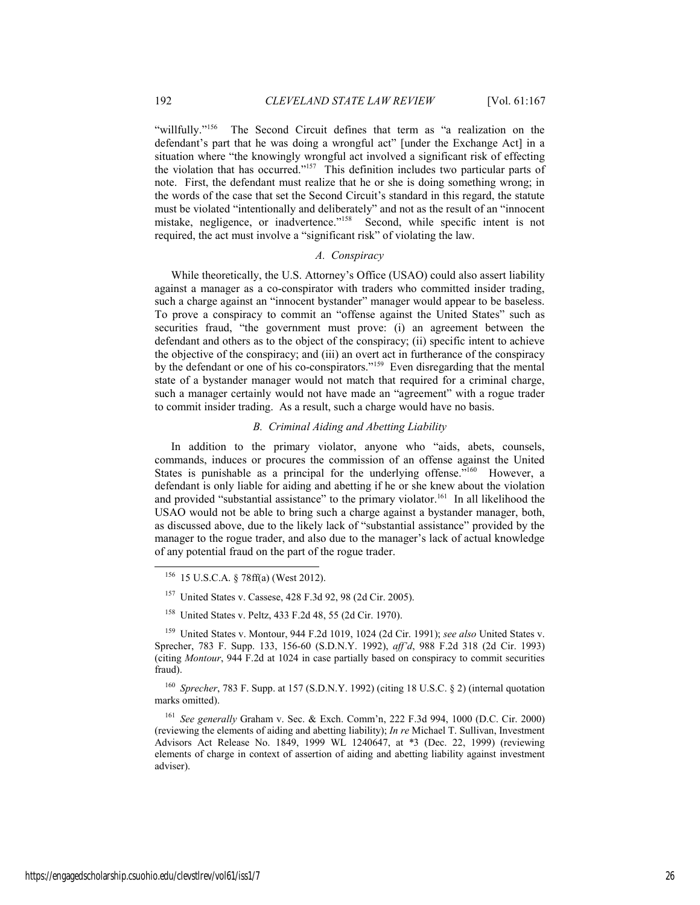"willfully."<sup>156</sup> The Second Circuit defines that term as "a realization on the defendant's part that he was doing a wrongful act" [under the Exchange Act] in a situation where "the knowingly wrongful act involved a significant risk of effecting the violation that has occurred."157 This definition includes two particular parts of note. First, the defendant must realize that he or she is doing something wrong; in the words of the case that set the Second Circuit's standard in this regard, the statute must be violated "intentionally and deliberately" and not as the result of an "innocent mistake, negligence, or inadvertence."<sup>158</sup> Second, while specific intent is not required, the act must involve a "significant risk" of violating the law.

#### *A. Conspiracy*

While theoretically, the U.S. Attorney's Office (USAO) could also assert liability against a manager as a co-conspirator with traders who committed insider trading, such a charge against an "innocent bystander" manager would appear to be baseless. To prove a conspiracy to commit an "offense against the United States" such as securities fraud, "the government must prove: (i) an agreement between the defendant and others as to the object of the conspiracy; (ii) specific intent to achieve the objective of the conspiracy; and (iii) an overt act in furtherance of the conspiracy by the defendant or one of his co-conspirators."159 Even disregarding that the mental state of a bystander manager would not match that required for a criminal charge, such a manager certainly would not have made an "agreement" with a rogue trader to commit insider trading. As a result, such a charge would have no basis.

#### *B. Criminal Aiding and Abetting Liability*

In addition to the primary violator, anyone who "aids, abets, counsels, commands, induces or procures the commission of an offense against the United States is punishable as a principal for the underlying offense.<sup>7160</sup> However, a defendant is only liable for aiding and abetting if he or she knew about the violation and provided "substantial assistance" to the primary violator.<sup>161</sup> In all likelihood the USAO would not be able to bring such a charge against a bystander manager, both, as discussed above, due to the likely lack of "substantial assistance" provided by the manager to the rogue trader, and also due to the manager's lack of actual knowledge of any potential fraud on the part of the rogue trader.

158 United States v. Peltz, 433 F.2d 48, 55 (2d Cir. 1970).

<sup>160</sup> *Sprecher*, 783 F. Supp. at 157 (S.D.N.Y. 1992) (citing 18 U.S.C. § 2) (internal quotation marks omitted).

<sup>161</sup> *See generally* Graham v. Sec. & Exch. Comm'n, 222 F.3d 994, 1000 (D.C. Cir. 2000) (reviewing the elements of aiding and abetting liability); *In re* Michael T. Sullivan, Investment Advisors Act Release No. 1849, 1999 WL 1240647, at \*3 (Dec. 22, 1999) (reviewing elements of charge in context of assertion of aiding and abetting liability against investment adviser).

 <sup>156 15</sup> U.S.C.A. § 78ff(a) (West 2012).

United States v. Cassese, 428 F.3d 92, 98 (2d Cir. 2005).

<sup>159</sup> United States v. Montour, 944 F.2d 1019, 1024 (2d Cir. 1991); *see also* United States v. Sprecher, 783 F. Supp. 133, 156-60 (S.D.N.Y. 1992), *aff'd*, 988 F.2d 318 (2d Cir. 1993) (citing *Montour*, 944 F.2d at 1024 in case partially based on conspiracy to commit securities fraud).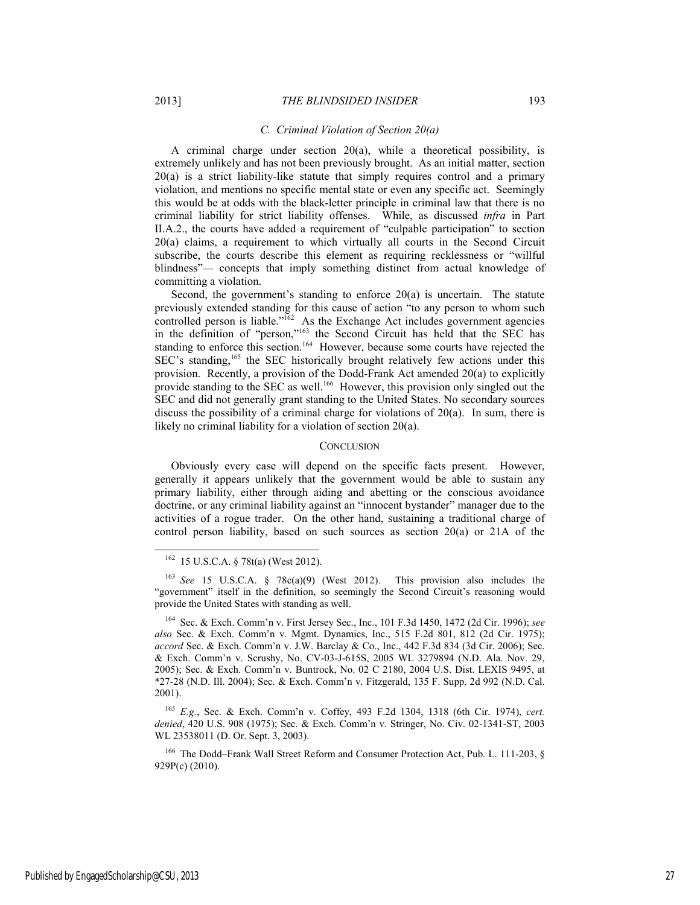#### *C. Criminal Violation of Section 20(a)*

A criminal charge under section 20(a), while a theoretical possibility, is extremely unlikely and has not been previously brought. As an initial matter, section 20(a) is a strict liability-like statute that simply requires control and a primary violation, and mentions no specific mental state or even any specific act. Seemingly this would be at odds with the black-letter principle in criminal law that there is no criminal liability for strict liability offenses. While, as discussed *infra* in Part II.A.2., the courts have added a requirement of "culpable participation" to section 20(a) claims, a requirement to which virtually all courts in the Second Circuit subscribe, the courts describe this element as requiring recklessness or "willful blindness"— concepts that imply something distinct from actual knowledge of committing a violation.

Second, the government's standing to enforce 20(a) is uncertain. The statute previously extended standing for this cause of action "to any person to whom such controlled person is liable." $162$  As the Exchange Act includes government agencies in the definition of "person,"163 the Second Circuit has held that the SEC has standing to enforce this section.<sup>164</sup> However, because some courts have rejected the SEC's standing,<sup>165</sup> the SEC historically brought relatively few actions under this provision. Recently, a provision of the Dodd-Frank Act amended 20(a) to explicitly provide standing to the SEC as well.<sup>166</sup> However, this provision only singled out the SEC and did not generally grant standing to the United States. No secondary sources discuss the possibility of a criminal charge for violations of  $20(a)$ . In sum, there is likely no criminal liability for a violation of section 20(a).

#### **CONCLUSION**

Obviously every case will depend on the specific facts present. However, generally it appears unlikely that the government would be able to sustain any primary liability, either through aiding and abetting or the conscious avoidance doctrine, or any criminal liability against an "innocent bystander" manager due to the activities of a rogue trader. On the other hand, sustaining a traditional charge of control person liability, based on such sources as section  $20(a)$  or  $21A$  of the

 <sup>162 15</sup> U.S.C.A. § 78t(a) (West 2012).

<sup>163</sup> *See* 15 U.S.C.A. § 78c(a)(9) (West 2012). This provision also includes the "government" itself in the definition, so seemingly the Second Circuit's reasoning would provide the United States with standing as well.

<sup>164</sup> Sec. & Exch. Comm'n v. First Jersey Sec., Inc., 101 F.3d 1450, 1472 (2d Cir. 1996); *see also* Sec. & Exch. Comm'n v. Mgmt. Dynamics, Inc., 515 F.2d 801, 812 (2d Cir. 1975); *accord* Sec. & Exch. Comm'n v. J.W. Barclay & Co., Inc., 442 F.3d 834 (3d Cir. 2006); Sec. & Exch. Comm'n v. Scrushy, No. CV-03-J-615S, 2005 WL 3279894 (N.D. Ala. Nov. 29, 2005); Sec. & Exch. Comm'n v. Buntrock, No. 02 C 2180, 2004 U.S. Dist. LEXIS 9495, at \*27-28 (N.D. Ill. 2004); Sec. & Exch. Comm'n v. Fitzgerald, 135 F. Supp. 2d 992 (N.D. Cal. 2001).

<sup>165</sup> *E.g.*, Sec. & Exch. Comm'n v. Coffey, 493 F.2d 1304, 1318 (6th Cir. 1974), *cert. denied*, 420 U.S. 908 (1975); Sec. & Exch. Comm'n v. Stringer, No. Civ. 02-1341-ST, 2003 WL 23538011 (D. Or. Sept. 3, 2003).

<sup>&</sup>lt;sup>166</sup> The Dodd–Frank Wall Street Reform and Consumer Protection Act, Pub. L. 111-203, § 929P(c) (2010).